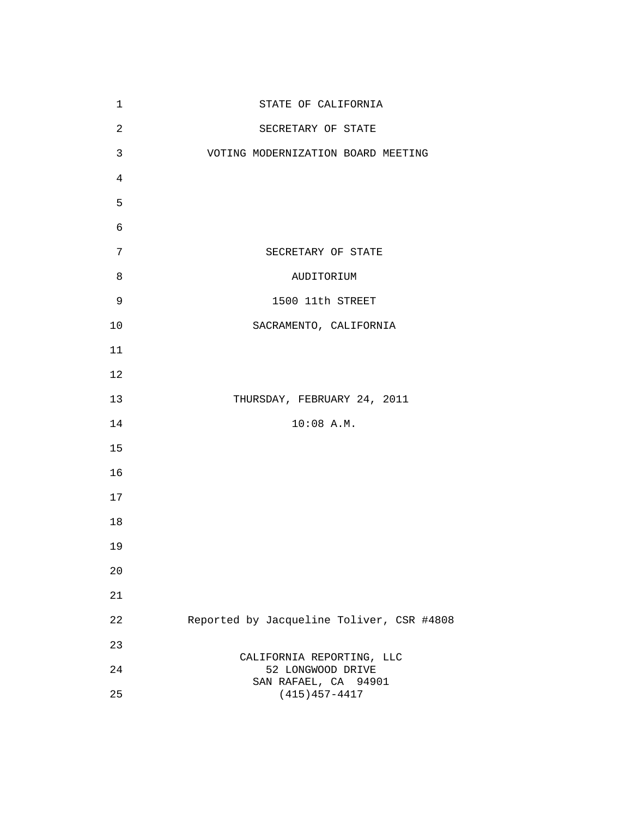| 1              | STATE OF CALIFORNIA                                                    |
|----------------|------------------------------------------------------------------------|
| $\overline{a}$ | SECRETARY OF STATE                                                     |
| 3              | VOTING MODERNIZATION BOARD MEETING                                     |
| $\overline{4}$ |                                                                        |
| 5              |                                                                        |
| 6              |                                                                        |
| 7              | SECRETARY OF STATE                                                     |
| 8              | AUDITORIUM                                                             |
| 9              | 1500 11th STREET                                                       |
| $10$           | SACRAMENTO, CALIFORNIA                                                 |
| 11             |                                                                        |
| 12             |                                                                        |
| 13             | THURSDAY, FEBRUARY 24, 2011                                            |
| 14             | $10:08$ A.M.                                                           |
| 15             |                                                                        |
| 16             |                                                                        |
| 17             |                                                                        |
| 18             |                                                                        |
| 19             |                                                                        |
| 20             |                                                                        |
| 21             |                                                                        |
| 22             | Reported by Jacqueline Toliver, CSR #4808                              |
| 23             |                                                                        |
| 24             | CALIFORNIA REPORTING, LLC<br>52 LONGWOOD DRIVE<br>SAN RAFAEL, CA 94901 |
| 25             | $(415)457 - 4417$                                                      |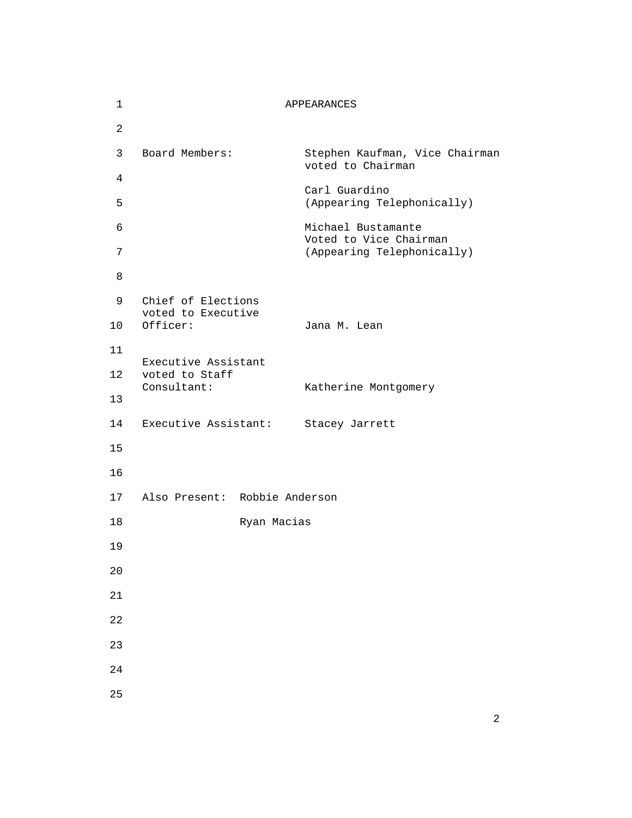| $\mathbf{1}$ |                                          | APPEARANCES                                         |
|--------------|------------------------------------------|-----------------------------------------------------|
| 2            |                                          |                                                     |
| 3            | Board Members:                           | Stephen Kaufman, Vice Chairman<br>voted to Chairman |
| 4            |                                          | Carl Guardino                                       |
| 5            |                                          | (Appearing Telephonically)                          |
| 6            |                                          | Michael Bustamante<br>Voted to Vice Chairman        |
| 7            |                                          | (Appearing Telephonically)                          |
| 8            |                                          |                                                     |
| 9            | Chief of Elections<br>voted to Executive |                                                     |
| 10           | Officer:                                 | Jana M. Lean                                        |
| 11           | Executive Assistant                      |                                                     |
| 12           | voted to Staff<br>Consultant:            | Katherine Montgomery                                |
| 13           |                                          |                                                     |
| 14           |                                          | Executive Assistant: Stacey Jarrett                 |
| 15           |                                          |                                                     |
| 16           |                                          |                                                     |
| 17           | Also Present: Robbie Anderson            |                                                     |
| 18           |                                          | Ryan Macias                                         |
| 19           |                                          |                                                     |
| 20           |                                          |                                                     |
| 21           |                                          |                                                     |
| 22           |                                          |                                                     |
| 23           |                                          |                                                     |
| 24           |                                          |                                                     |
| 25           |                                          |                                                     |
|              |                                          |                                                     |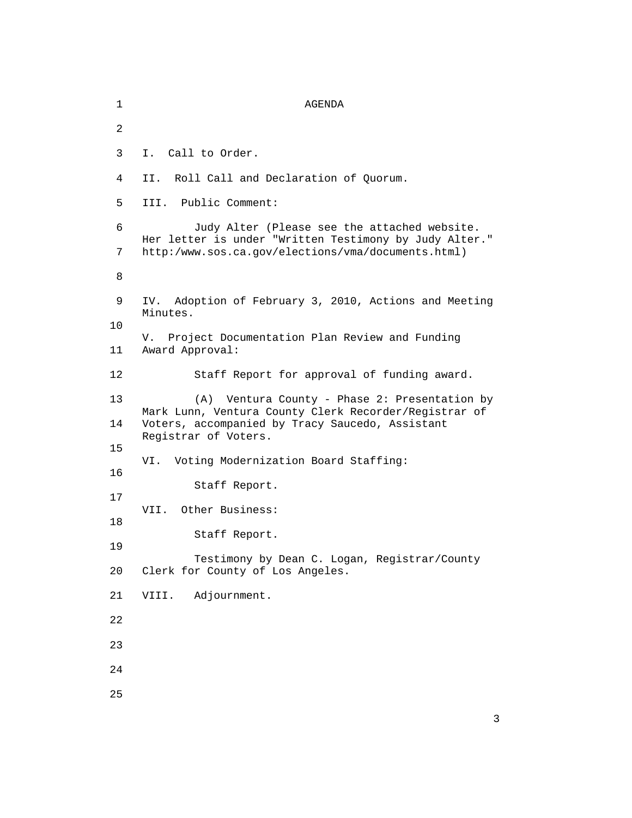1 AGENDA 2 3 I. Call to Order. 4 II. Roll Call and Declaration of Quorum. 5 III. Public Comment: 6 Judy Alter (Please see the attached website. Her letter is under "Written Testimony by Judy Alter." 7 http:/www.sos.ca.gov/elections/vma/documents.html) 8 9 IV. Adoption of February 3, 2010, Actions and Meeting Minutes. 10 V. Project Documentation Plan Review and Funding 11 Award Approval: 12 Staff Report for approval of funding award. 13 (A) Ventura County - Phase 2: Presentation by Mark Lunn, Ventura County Clerk Recorder/Registrar of 14 Voters, accompanied by Tracy Saucedo, Assistant Registrar of Voters. 15 VI. Voting Modernization Board Staffing: 16 Staff Report. 17 VII. Other Business: 18 Staff Report. 19 Testimony by Dean C. Logan, Registrar/County 20 Clerk for County of Los Angeles. 21 VIII. Adjournment. 22 23 24 25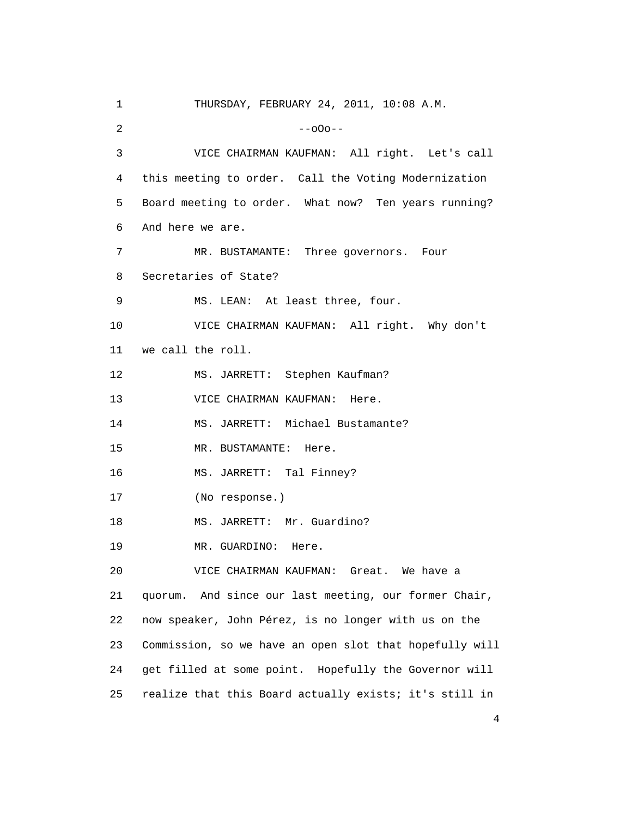1 THURSDAY, FEBRUARY 24, 2011, 10:08 A.M.  $2$  --000-- 3 VICE CHAIRMAN KAUFMAN: All right. Let's call 4 this meeting to order. Call the Voting Modernization 5 Board meeting to order. What now? Ten years running? 6 And here we are. 7 MR. BUSTAMANTE: Three governors. Four 8 Secretaries of State? 9 MS. LEAN: At least three, four. 10 VICE CHAIRMAN KAUFMAN: All right. Why don't 11 we call the roll. 12 MS. JARRETT: Stephen Kaufman? 13 VICE CHAIRMAN KAUFMAN: Here. 14 MS. JARRETT: Michael Bustamante? 15 MR. BUSTAMANTE: Here. 16 MS. JARRETT: Tal Finney? 17 (No response.) 18 MS. JARRETT: Mr. Guardino? 19 MR. GUARDINO: Here. 20 VICE CHAIRMAN KAUFMAN: Great. We have a 21 quorum. And since our last meeting, our former Chair, 22 now speaker, John Pérez, is no longer with us on the 23 Commission, so we have an open slot that hopefully will 24 get filled at some point. Hopefully the Governor will 25 realize that this Board actually exists; it's still in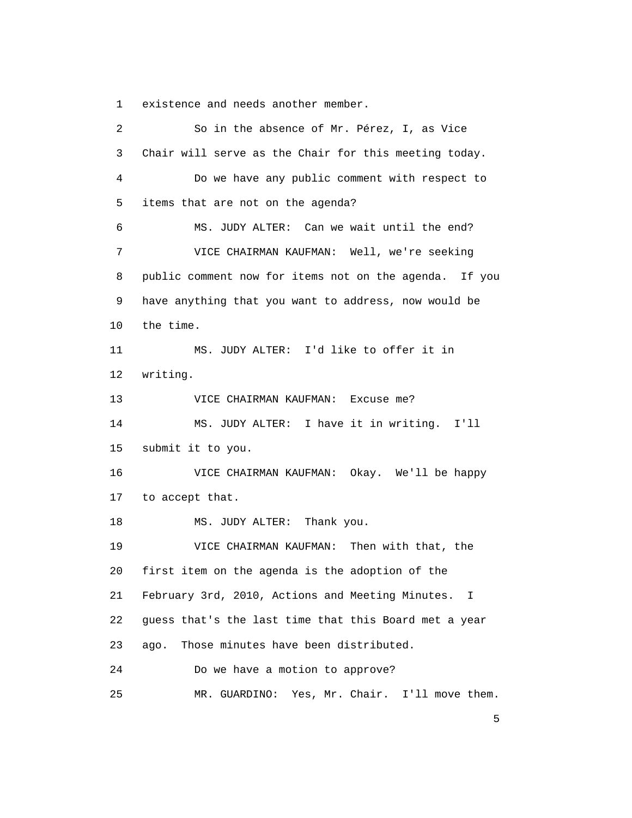1 existence and needs another member.

| 2  | So in the absence of Mr. Pérez, I, as Vice             |
|----|--------------------------------------------------------|
| 3  | Chair will serve as the Chair for this meeting today.  |
| 4  | Do we have any public comment with respect to          |
| 5  | items that are not on the agenda?                      |
| 6  | MS. JUDY ALTER: Can we wait until the end?             |
| 7  | VICE CHAIRMAN KAUFMAN: Well, we're seeking             |
| 8  | public comment now for items not on the agenda. If you |
| 9  | have anything that you want to address, now would be   |
| 10 | the time.                                              |
| 11 | MS. JUDY ALTER: I'd like to offer it in                |
| 12 | writing.                                               |
| 13 | VICE CHAIRMAN KAUFMAN: Excuse me?                      |
| 14 | MS. JUDY ALTER: I have it in writing.<br>I'11          |
| 15 | submit it to you.                                      |
| 16 | VICE CHAIRMAN KAUFMAN: Okay. We'll be happy            |
| 17 | to accept that.                                        |
| 18 | Thank you.<br>MS. JUDY ALTER:                          |
| 19 | VICE CHAIRMAN KAUFMAN: Then with that, the             |
| 20 | first item on the agenda is the adoption of the        |
| 21 | February 3rd, 2010, Actions and Meeting Minutes. I     |
| 22 | guess that's the last time that this Board met a year  |
| 23 | Those minutes have been distributed.<br>ago.           |
| 24 | Do we have a motion to approve?                        |
| 25 | MR. GUARDINO: Yes, Mr. Chair. I'll move them.          |

 $\sim$  5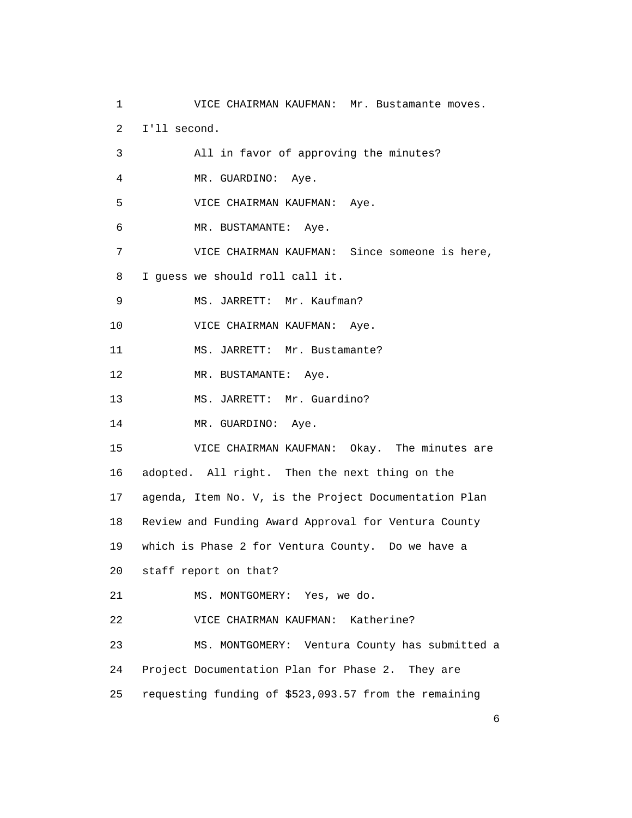1 VICE CHAIRMAN KAUFMAN: Mr. Bustamante moves. 2 I'll second. 3 All in favor of approving the minutes? 4 MR. GUARDINO: Aye. 5 VICE CHAIRMAN KAUFMAN: Aye. 6 MR. BUSTAMANTE: Aye. 7 VICE CHAIRMAN KAUFMAN: Since someone is here, 8 I guess we should roll call it. 9 MS. JARRETT: Mr. Kaufman? 10 VICE CHAIRMAN KAUFMAN: Aye. 11 MS. JARRETT: Mr. Bustamante? 12 MR. BUSTAMANTE: Aye. 13 MS. JARRETT: Mr. Guardino? 14 MR. GUARDINO: Aye. 15 VICE CHAIRMAN KAUFMAN: Okay. The minutes are 16 adopted. All right. Then the next thing on the 17 agenda, Item No. V, is the Project Documentation Plan 18 Review and Funding Award Approval for Ventura County 19 which is Phase 2 for Ventura County. Do we have a 20 staff report on that? 21 MS. MONTGOMERY: Yes, we do. 22 VICE CHAIRMAN KAUFMAN: Katherine? 23 MS. MONTGOMERY: Ventura County has submitted a 24 Project Documentation Plan for Phase 2. They are 25 requesting funding of \$523,093.57 from the remaining

 $\sim$  6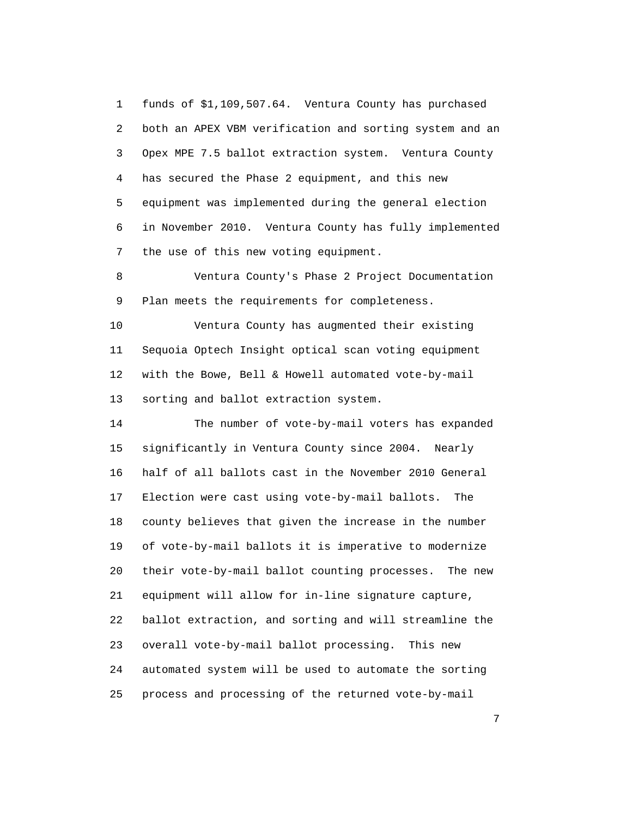1 funds of \$1,109,507.64. Ventura County has purchased 2 both an APEX VBM verification and sorting system and an 3 Opex MPE 7.5 ballot extraction system. Ventura County 4 has secured the Phase 2 equipment, and this new 5 equipment was implemented during the general election 6 in November 2010. Ventura County has fully implemented 7 the use of this new voting equipment.

 8 Ventura County's Phase 2 Project Documentation 9 Plan meets the requirements for completeness.

 10 Ventura County has augmented their existing 11 Sequoia Optech Insight optical scan voting equipment 12 with the Bowe, Bell & Howell automated vote-by-mail 13 sorting and ballot extraction system.

 14 The number of vote-by-mail voters has expanded 15 significantly in Ventura County since 2004. Nearly 16 half of all ballots cast in the November 2010 General 17 Election were cast using vote-by-mail ballots. The 18 county believes that given the increase in the number 19 of vote-by-mail ballots it is imperative to modernize 20 their vote-by-mail ballot counting processes. The new 21 equipment will allow for in-line signature capture, 22 ballot extraction, and sorting and will streamline the 23 overall vote-by-mail ballot processing. This new 24 automated system will be used to automate the sorting 25 process and processing of the returned vote-by-mail

<u>2</u>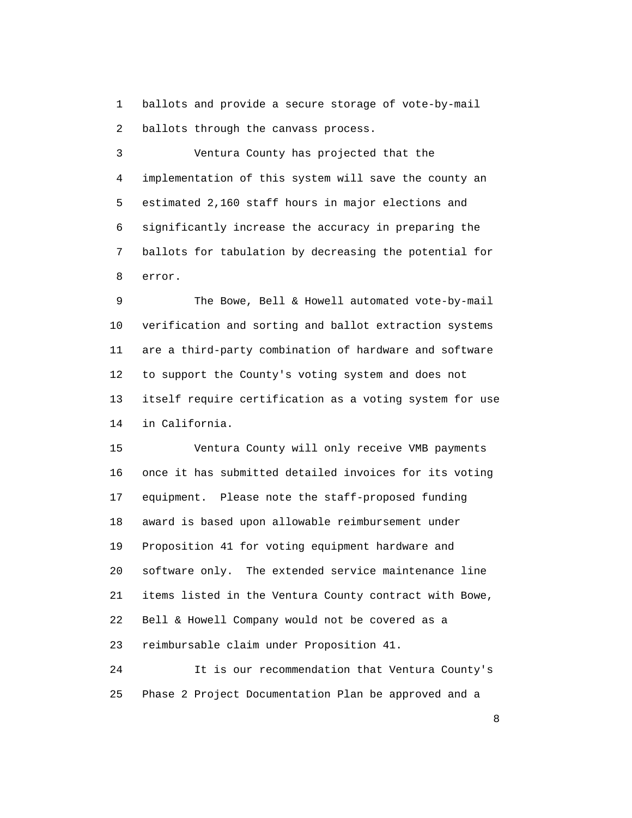1 ballots and provide a secure storage of vote-by-mail 2 ballots through the canvass process.

 3 Ventura County has projected that the 4 implementation of this system will save the county an 5 estimated 2,160 staff hours in major elections and 6 significantly increase the accuracy in preparing the 7 ballots for tabulation by decreasing the potential for 8 error.

 9 The Bowe, Bell & Howell automated vote-by-mail 10 verification and sorting and ballot extraction systems 11 are a third-party combination of hardware and software 12 to support the County's voting system and does not 13 itself require certification as a voting system for use 14 in California.

 15 Ventura County will only receive VMB payments 16 once it has submitted detailed invoices for its voting 17 equipment. Please note the staff-proposed funding 18 award is based upon allowable reimbursement under 19 Proposition 41 for voting equipment hardware and 20 software only. The extended service maintenance line 21 items listed in the Ventura County contract with Bowe, 22 Bell & Howell Company would not be covered as a 23 reimbursable claim under Proposition 41. 24 It is our recommendation that Ventura County's

25 Phase 2 Project Documentation Plan be approved and a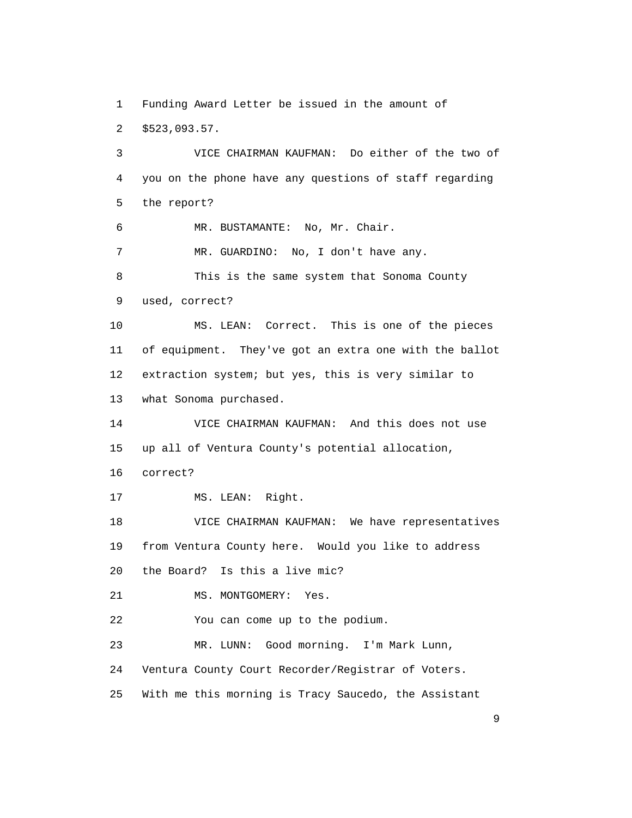1 Funding Award Letter be issued in the amount of 2 \$523,093.57.

 3 VICE CHAIRMAN KAUFMAN: Do either of the two of 4 you on the phone have any questions of staff regarding 5 the report? 6 MR. BUSTAMANTE: No, Mr. Chair. 7 MR. GUARDINO: No, I don't have any. 8 This is the same system that Sonoma County 9 used, correct? 10 MS. LEAN: Correct. This is one of the pieces 11 of equipment. They've got an extra one with the ballot 12 extraction system; but yes, this is very similar to 13 what Sonoma purchased. 14 VICE CHAIRMAN KAUFMAN: And this does not use 15 up all of Ventura County's potential allocation, 16 correct? 17 MS. LEAN: Right. 18 VICE CHAIRMAN KAUFMAN: We have representatives 19 from Ventura County here. Would you like to address 20 the Board? Is this a live mic? 21 MS. MONTGOMERY: Yes. 22 You can come up to the podium. 23 MR. LUNN: Good morning. I'm Mark Lunn, 24 Ventura County Court Recorder/Registrar of Voters. 25 With me this morning is Tracy Saucedo, the Assistant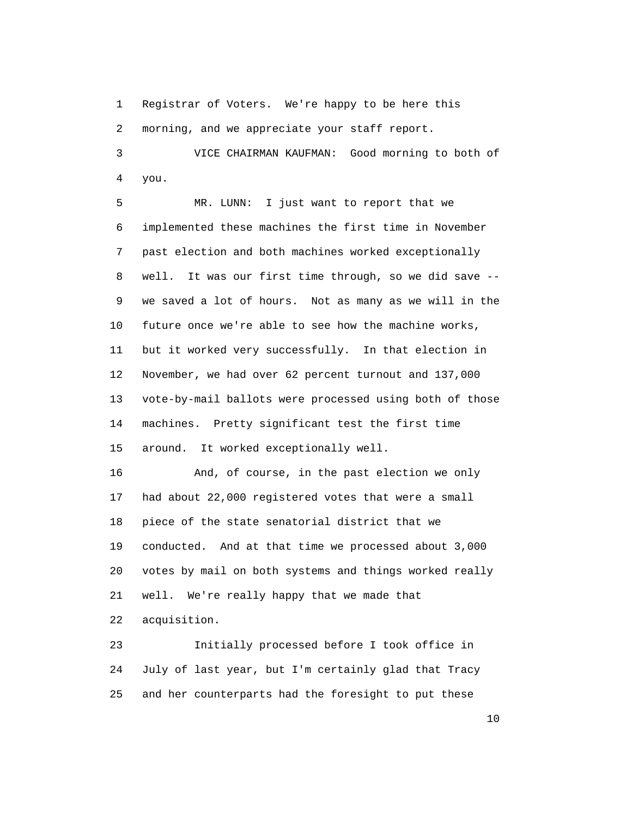1 Registrar of Voters. We're happy to be here this 2 morning, and we appreciate your staff report.

 3 VICE CHAIRMAN KAUFMAN: Good morning to both of 4 you.

 5 MR. LUNN: I just want to report that we 6 implemented these machines the first time in November 7 past election and both machines worked exceptionally 8 well. It was our first time through, so we did save -- 9 we saved a lot of hours. Not as many as we will in the 10 future once we're able to see how the machine works, 11 but it worked very successfully. In that election in 12 November, we had over 62 percent turnout and 137,000 13 vote-by-mail ballots were processed using both of those 14 machines. Pretty significant test the first time 15 around. It worked exceptionally well.

 16 And, of course, in the past election we only 17 had about 22,000 registered votes that were a small 18 piece of the state senatorial district that we 19 conducted. And at that time we processed about 3,000 20 votes by mail on both systems and things worked really 21 well. We're really happy that we made that 22 acquisition.

 23 Initially processed before I took office in 24 July of last year, but I'm certainly glad that Tracy 25 and her counterparts had the foresight to put these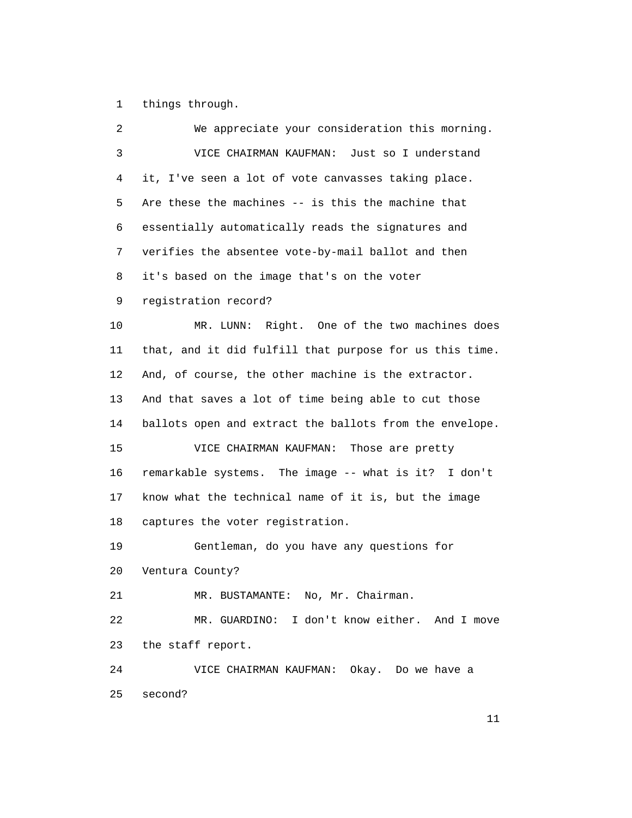1 things through.

| 2              | We appreciate your consideration this morning.          |
|----------------|---------------------------------------------------------|
| $\mathfrak{Z}$ | VICE CHAIRMAN KAUFMAN: Just so I understand             |
| 4              | it, I've seen a lot of vote canvasses taking place.     |
| 5              | Are these the machines -- is this the machine that      |
| 6              | essentially automatically reads the signatures and      |
| 7              | verifies the absentee vote-by-mail ballot and then      |
| 8              | it's based on the image that's on the voter             |
| 9              | registration record?                                    |
| 10             | MR. LUNN: Right. One of the two machines does           |
| 11             | that, and it did fulfill that purpose for us this time. |
| 12             | And, of course, the other machine is the extractor.     |
| 13             | And that saves a lot of time being able to cut those    |
| 14             | ballots open and extract the ballots from the envelope. |
| 15             | VICE CHAIRMAN KAUFMAN:<br>Those are pretty              |
| 16             | remarkable systems. The image -- what is it? I don't    |
| 17             | know what the technical name of it is, but the image    |
| 18             | captures the voter registration.                        |
| 19             | Gentleman, do you have any questions for                |
| 20             | Ventura County?                                         |
| 21             | MR. BUSTAMANTE: No, Mr. Chairman.                       |
| 22             | MR. GUARDINO: I don't know either. And I move           |
| 23             | the staff report.                                       |
| 24             | VICE CHAIRMAN KAUFMAN: Okay. Do we have a               |
| 25             | second?                                                 |
|                |                                                         |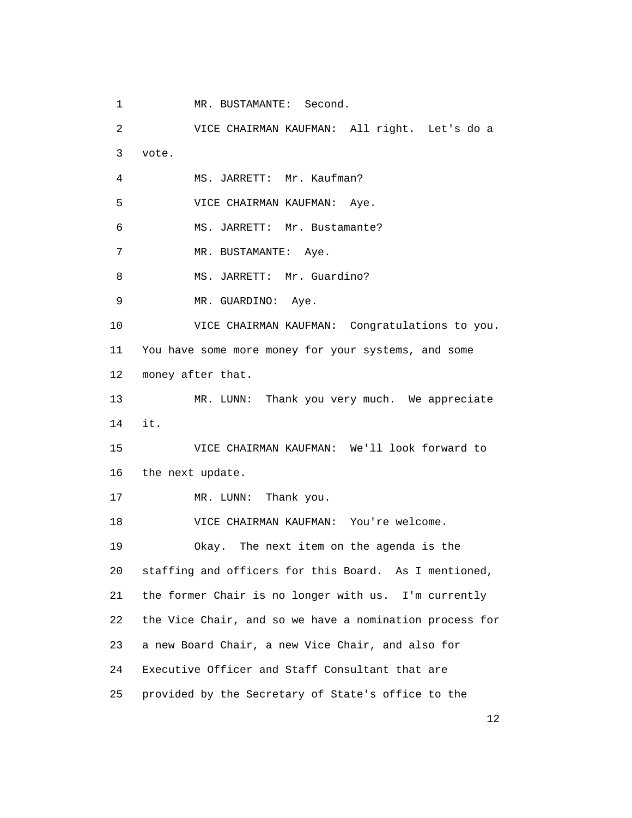1 MR. BUSTAMANTE: Second.

 2 VICE CHAIRMAN KAUFMAN: All right. Let's do a 3 vote. 4 MS. JARRETT: Mr. Kaufman? 5 VICE CHAIRMAN KAUFMAN: Aye. 6 MS. JARRETT: Mr. Bustamante? 7 MR. BUSTAMANTE: Aye. 8 MS. JARRETT: Mr. Guardino? 9 MR. GUARDINO: Aye. 10 VICE CHAIRMAN KAUFMAN: Congratulations to you. 11 You have some more money for your systems, and some 12 money after that. 13 MR. LUNN: Thank you very much. We appreciate 14 it. 15 VICE CHAIRMAN KAUFMAN: We'll look forward to 16 the next update. 17 MR. LUNN: Thank you. 18 VICE CHAIRMAN KAUFMAN: You're welcome. 19 Okay. The next item on the agenda is the 20 staffing and officers for this Board. As I mentioned, 21 the former Chair is no longer with us. I'm currently 22 the Vice Chair, and so we have a nomination process for 23 a new Board Chair, a new Vice Chair, and also for 24 Executive Officer and Staff Consultant that are 25 provided by the Secretary of State's office to the

 $\sim$  12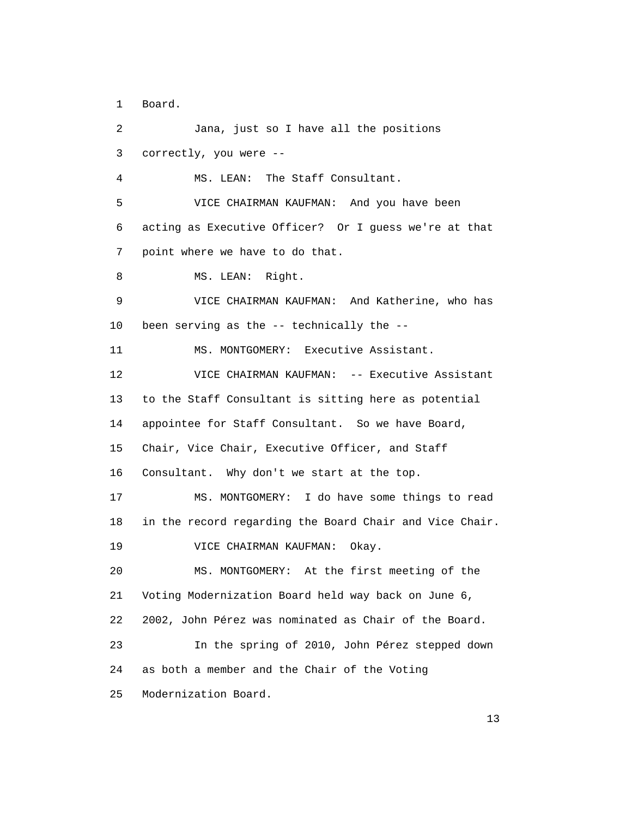1 Board.

 2 Jana, just so I have all the positions 3 correctly, you were -- 4 MS. LEAN: The Staff Consultant. 5 VICE CHAIRMAN KAUFMAN: And you have been 6 acting as Executive Officer? Or I guess we're at that 7 point where we have to do that. 8 MS. LEAN: Right. 9 VICE CHAIRMAN KAUFMAN: And Katherine, who has 10 been serving as the -- technically the -- 11 MS. MONTGOMERY: Executive Assistant. 12 VICE CHAIRMAN KAUFMAN: -- Executive Assistant 13 to the Staff Consultant is sitting here as potential 14 appointee for Staff Consultant. So we have Board, 15 Chair, Vice Chair, Executive Officer, and Staff 16 Consultant. Why don't we start at the top. 17 MS. MONTGOMERY: I do have some things to read 18 in the record regarding the Board Chair and Vice Chair. 19 VICE CHAIRMAN KAUFMAN: Okay. 20 MS. MONTGOMERY: At the first meeting of the 21 Voting Modernization Board held way back on June 6, 22 2002, John Pérez was nominated as Chair of the Board. 23 In the spring of 2010, John Pérez stepped down 24 as both a member and the Chair of the Voting 25 Modernization Board.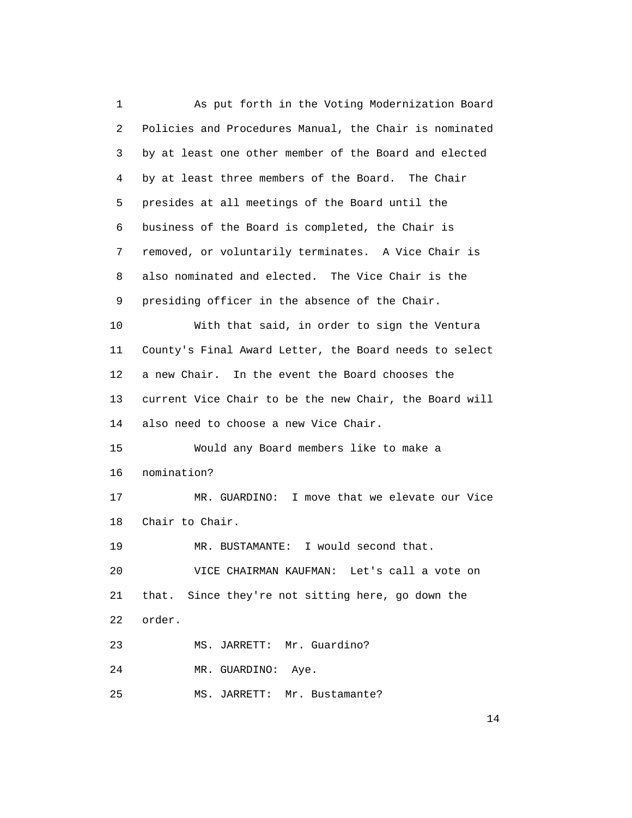1 As put forth in the Voting Modernization Board 2 Policies and Procedures Manual, the Chair is nominated 3 by at least one other member of the Board and elected 4 by at least three members of the Board. The Chair 5 presides at all meetings of the Board until the 6 business of the Board is completed, the Chair is 7 removed, or voluntarily terminates. A Vice Chair is 8 also nominated and elected. The Vice Chair is the 9 presiding officer in the absence of the Chair. 10 With that said, in order to sign the Ventura 11 County's Final Award Letter, the Board needs to select 12 a new Chair. In the event the Board chooses the 13 current Vice Chair to be the new Chair, the Board will 14 also need to choose a new Vice Chair. 15 Would any Board members like to make a 16 nomination? 17 MR. GUARDINO: I move that we elevate our Vice 18 Chair to Chair. 19 MR. BUSTAMANTE: I would second that. 20 VICE CHAIRMAN KAUFMAN: Let's call a vote on 21 that. Since they're not sitting here, go down the 22 order. 23 MS. JARRETT: Mr. Guardino? 24 MR. GUARDINO: Aye. 25 MS. JARRETT: Mr. Bustamante?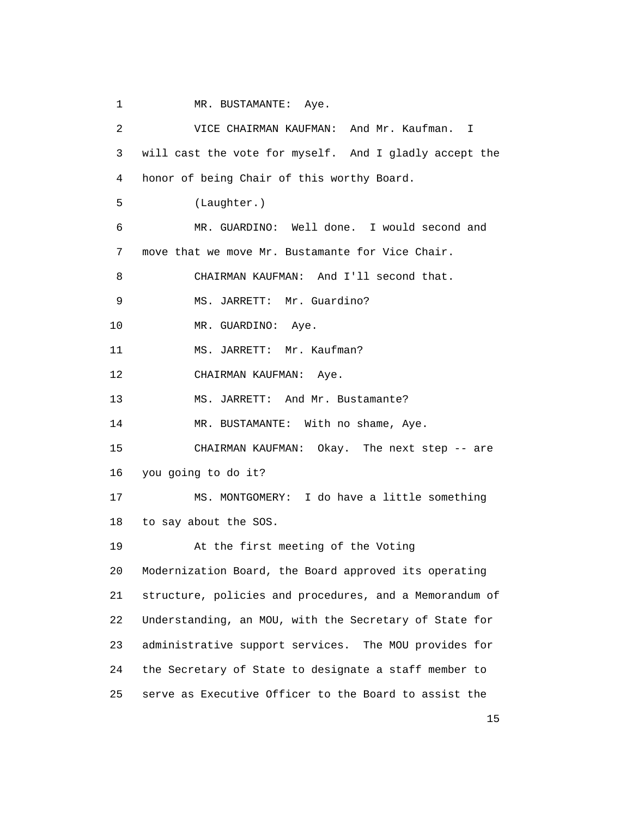1 MR. BUSTAMANTE: Aye.

 2 VICE CHAIRMAN KAUFMAN: And Mr. Kaufman. I 3 will cast the vote for myself. And I gladly accept the 4 honor of being Chair of this worthy Board. 5 (Laughter.) 6 MR. GUARDINO: Well done. I would second and 7 move that we move Mr. Bustamante for Vice Chair. 8 CHAIRMAN KAUFMAN: And I'll second that. 9 MS. JARRETT: Mr. Guardino? 10 MR. GUARDINO: Aye. 11 MS. JARRETT: Mr. Kaufman? 12 CHAIRMAN KAUFMAN: Aye. 13 MS. JARRETT: And Mr. Bustamante? 14 MR. BUSTAMANTE: With no shame, Aye. 15 CHAIRMAN KAUFMAN: Okay. The next step -- are 16 you going to do it? 17 MS. MONTGOMERY: I do have a little something 18 to say about the SOS. 19 At the first meeting of the Voting 20 Modernization Board, the Board approved its operating 21 structure, policies and procedures, and a Memorandum of 22 Understanding, an MOU, with the Secretary of State for 23 administrative support services. The MOU provides for 24 the Secretary of State to designate a staff member to 25 serve as Executive Officer to the Board to assist the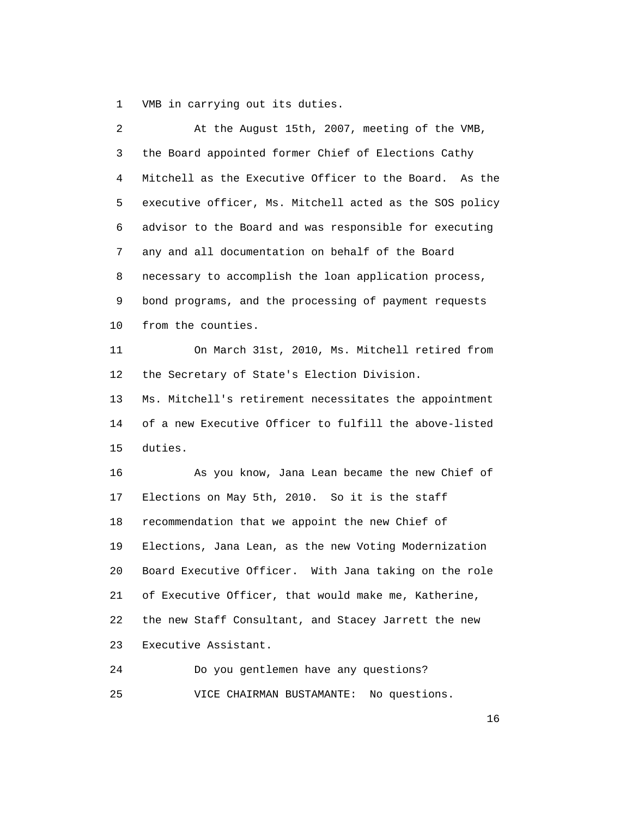1 VMB in carrying out its duties.

| 2  | At the August 15th, 2007, meeting of the VMB,           |
|----|---------------------------------------------------------|
| 3  | the Board appointed former Chief of Elections Cathy     |
| 4  | Mitchell as the Executive Officer to the Board. As the  |
| 5  | executive officer, Ms. Mitchell acted as the SOS policy |
| 6  | advisor to the Board and was responsible for executing  |
| 7  | any and all documentation on behalf of the Board        |
| 8  | necessary to accomplish the loan application process,   |
| 9  | bond programs, and the processing of payment requests   |
| 10 | from the counties.                                      |
| 11 | On March 31st, 2010, Ms. Mitchell retired from          |
| 12 | the Secretary of State's Election Division.             |
| 13 | Ms. Mitchell's retirement necessitates the appointment  |
| 14 | of a new Executive Officer to fulfill the above-listed  |
| 15 | duties.                                                 |
| 16 | As you know, Jana Lean became the new Chief of          |
| 17 | Elections on May 5th, 2010. So it is the staff          |
| 18 | recommendation that we appoint the new Chief of         |
| 19 | Elections, Jana Lean, as the new Voting Modernization   |
| 20 | Board Executive Officer. With Jana taking on the role   |
| 21 | of Executive Officer, that would make me, Katherine,    |
| 22 | the new Staff Consultant, and Stacey Jarrett the new    |
| 23 | Executive Assistant.                                    |
| 24 | Do you gentlemen have any questions?                    |

25 VICE CHAIRMAN BUSTAMANTE: No questions.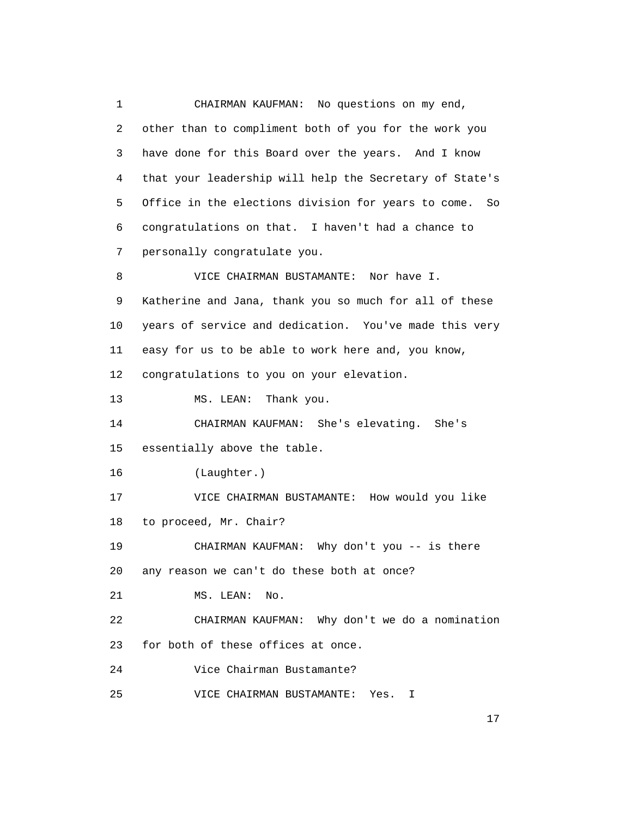1 CHAIRMAN KAUFMAN: No questions on my end, 2 other than to compliment both of you for the work you 3 have done for this Board over the years. And I know 4 that your leadership will help the Secretary of State's 5 Office in the elections division for years to come. So 6 congratulations on that. I haven't had a chance to 7 personally congratulate you. 8 VICE CHAIRMAN BUSTAMANTE: Nor have I. 9 Katherine and Jana, thank you so much for all of these 10 years of service and dedication. You've made this very 11 easy for us to be able to work here and, you know, 12 congratulations to you on your elevation. 13 MS. LEAN: Thank you. 14 CHAIRMAN KAUFMAN: She's elevating. She's 15 essentially above the table. 16 (Laughter.) 17 VICE CHAIRMAN BUSTAMANTE: How would you like 18 to proceed, Mr. Chair? 19 CHAIRMAN KAUFMAN: Why don't you -- is there 20 any reason we can't do these both at once? 21 MS. LEAN: No. 22 CHAIRMAN KAUFMAN: Why don't we do a nomination 23 for both of these offices at once. 24 Vice Chairman Bustamante? 25 VICE CHAIRMAN BUSTAMANTE: Yes. I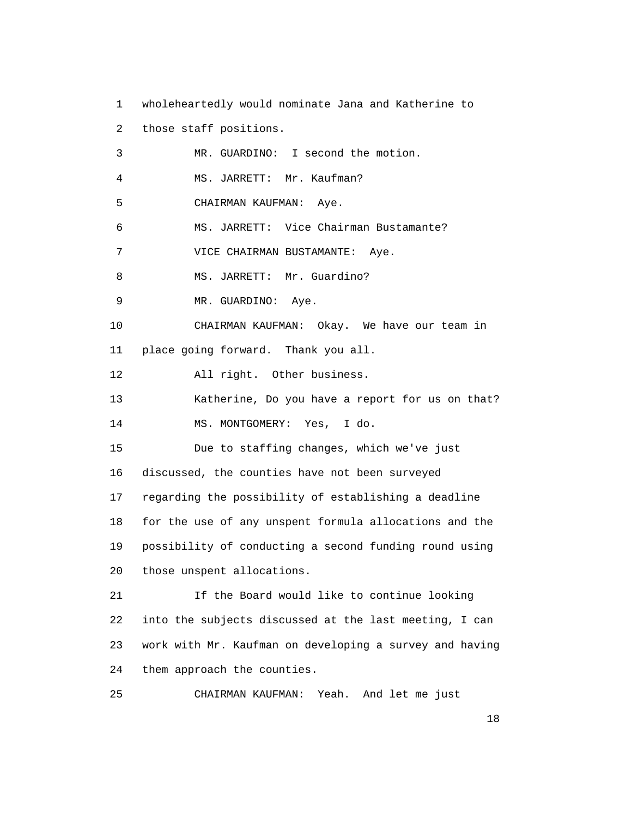1 wholeheartedly would nominate Jana and Katherine to 2 those staff positions. 3 MR. GUARDINO: I second the motion. 4 MS. JARRETT: Mr. Kaufman? 5 CHAIRMAN KAUFMAN: Aye. 6 MS. JARRETT: Vice Chairman Bustamante? 7 VICE CHAIRMAN BUSTAMANTE: Aye. 8 MS. JARRETT: Mr. Guardino? 9 MR. GUARDINO: Aye. 10 CHAIRMAN KAUFMAN: Okay. We have our team in 11 place going forward. Thank you all. 12 All right. Other business. 13 Katherine, Do you have a report for us on that? 14 MS. MONTGOMERY: Yes, I do. 15 Due to staffing changes, which we've just 16 discussed, the counties have not been surveyed 17 regarding the possibility of establishing a deadline 18 for the use of any unspent formula allocations and the 19 possibility of conducting a second funding round using 20 those unspent allocations. 21 If the Board would like to continue looking 22 into the subjects discussed at the last meeting, I can 23 work with Mr. Kaufman on developing a survey and having 24 them approach the counties.

25 CHAIRMAN KAUFMAN: Yeah. And let me just

 $\sim$  18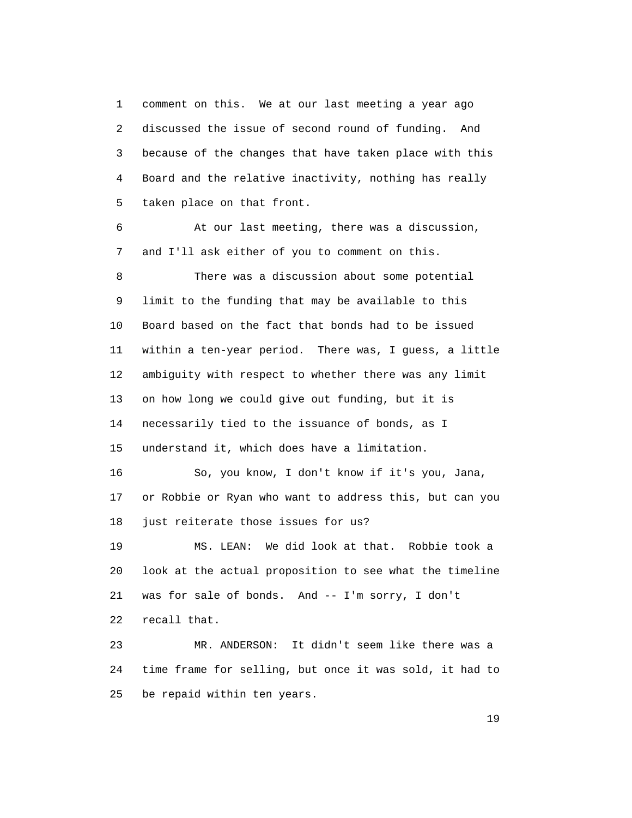1 comment on this. We at our last meeting a year ago 2 discussed the issue of second round of funding. And 3 because of the changes that have taken place with this 4 Board and the relative inactivity, nothing has really 5 taken place on that front.

 6 At our last meeting, there was a discussion, 7 and I'll ask either of you to comment on this. 8 There was a discussion about some potential 9 limit to the funding that may be available to this 10 Board based on the fact that bonds had to be issued 11 within a ten-year period. There was, I guess, a little 12 ambiguity with respect to whether there was any limit 13 on how long we could give out funding, but it is 14 necessarily tied to the issuance of bonds, as I 15 understand it, which does have a limitation. 16 So, you know, I don't know if it's you, Jana, 17 or Robbie or Ryan who want to address this, but can you 18 just reiterate those issues for us? 19 MS. LEAN: We did look at that. Robbie took a

 20 look at the actual proposition to see what the timeline 21 was for sale of bonds. And -- I'm sorry, I don't 22 recall that.

 23 MR. ANDERSON: It didn't seem like there was a 24 time frame for selling, but once it was sold, it had to 25 be repaid within ten years.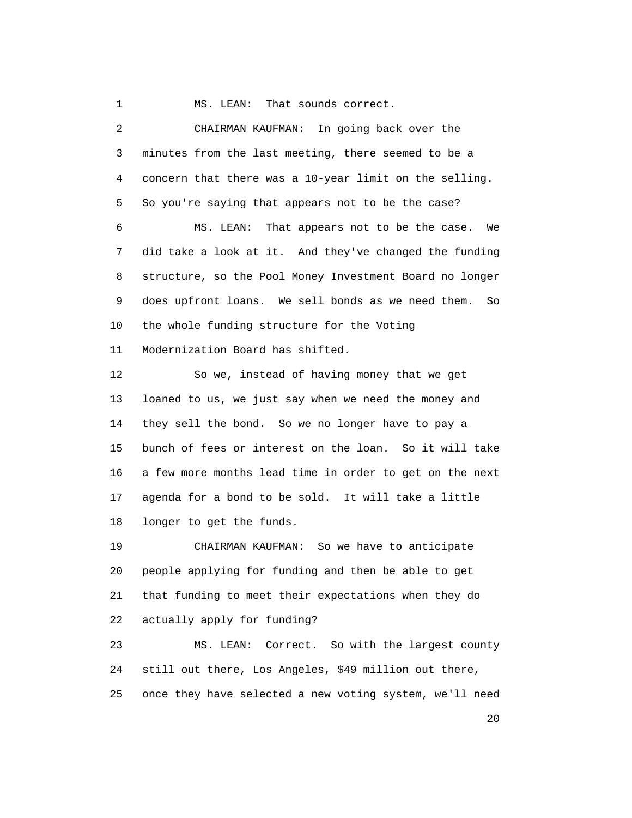1 MS. LEAN: That sounds correct.

 2 CHAIRMAN KAUFMAN: In going back over the 3 minutes from the last meeting, there seemed to be a 4 concern that there was a 10-year limit on the selling. 5 So you're saying that appears not to be the case? 6 MS. LEAN: That appears not to be the case. We 7 did take a look at it. And they've changed the funding 8 structure, so the Pool Money Investment Board no longer 9 does upfront loans. We sell bonds as we need them. So 10 the whole funding structure for the Voting 11 Modernization Board has shifted. 12 So we, instead of having money that we get 13 loaned to us, we just say when we need the money and 14 they sell the bond. So we no longer have to pay a 15 bunch of fees or interest on the loan. So it will take 16 a few more months lead time in order to get on the next 17 agenda for a bond to be sold. It will take a little 18 longer to get the funds. 19 CHAIRMAN KAUFMAN: So we have to anticipate

 20 people applying for funding and then be able to get 21 that funding to meet their expectations when they do 22 actually apply for funding?

 23 MS. LEAN: Correct. So with the largest county 24 still out there, Los Angeles, \$49 million out there, 25 once they have selected a new voting system, we'll need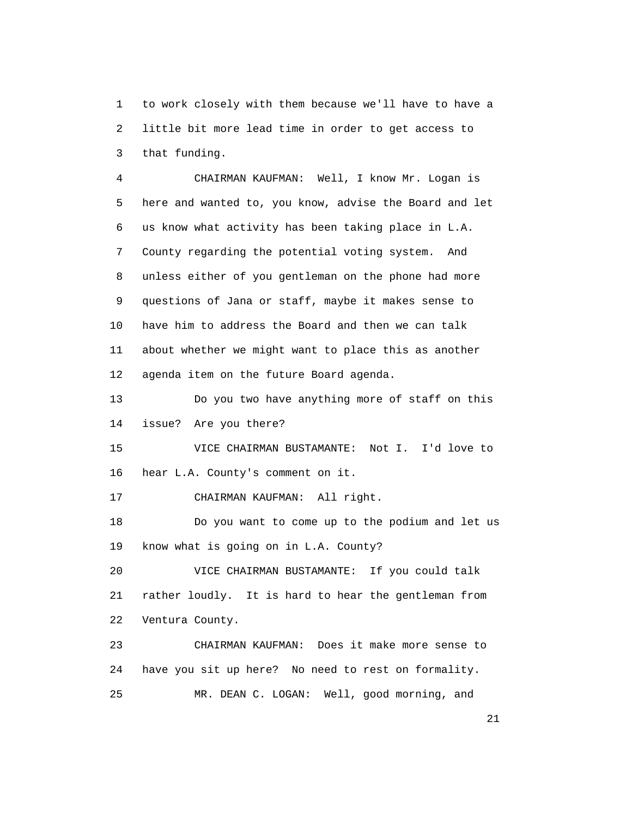1 to work closely with them because we'll have to have a 2 little bit more lead time in order to get access to 3 that funding.

 4 CHAIRMAN KAUFMAN: Well, I know Mr. Logan is 5 here and wanted to, you know, advise the Board and let 6 us know what activity has been taking place in L.A. 7 County regarding the potential voting system. And 8 unless either of you gentleman on the phone had more 9 questions of Jana or staff, maybe it makes sense to 10 have him to address the Board and then we can talk 11 about whether we might want to place this as another 12 agenda item on the future Board agenda.

 13 Do you two have anything more of staff on this 14 issue? Are you there?

 15 VICE CHAIRMAN BUSTAMANTE: Not I. I'd love to 16 hear L.A. County's comment on it.

17 CHAIRMAN KAUFMAN: All right.

 18 Do you want to come up to the podium and let us 19 know what is going on in L.A. County?

 20 VICE CHAIRMAN BUSTAMANTE: If you could talk 21 rather loudly. It is hard to hear the gentleman from 22 Ventura County.

 23 CHAIRMAN KAUFMAN: Does it make more sense to 24 have you sit up here? No need to rest on formality. 25 MR. DEAN C. LOGAN: Well, good morning, and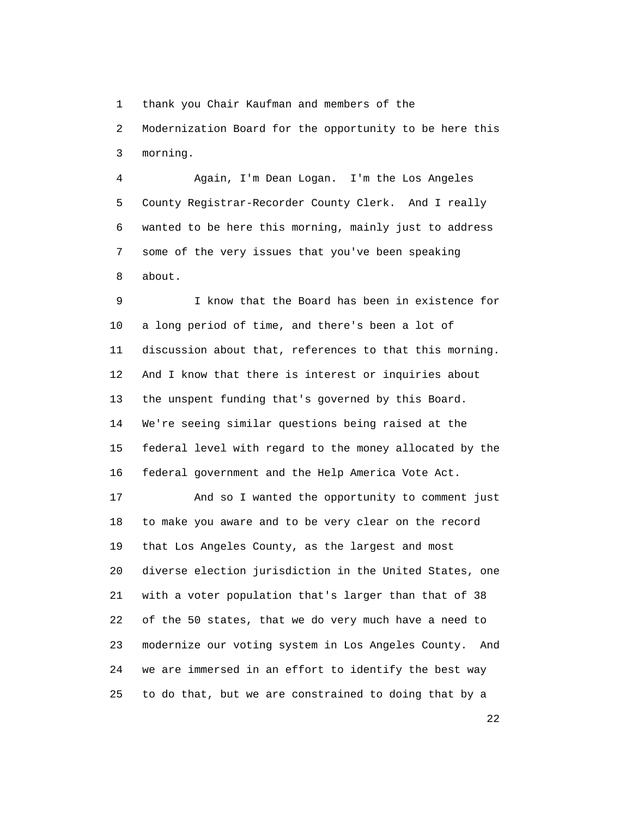1 thank you Chair Kaufman and members of the

 2 Modernization Board for the opportunity to be here this 3 morning.

 4 Again, I'm Dean Logan. I'm the Los Angeles 5 County Registrar-Recorder County Clerk. And I really 6 wanted to be here this morning, mainly just to address 7 some of the very issues that you've been speaking 8 about.

 9 I know that the Board has been in existence for 10 a long period of time, and there's been a lot of 11 discussion about that, references to that this morning. 12 And I know that there is interest or inquiries about 13 the unspent funding that's governed by this Board. 14 We're seeing similar questions being raised at the 15 federal level with regard to the money allocated by the 16 federal government and the Help America Vote Act.

 17 And so I wanted the opportunity to comment just 18 to make you aware and to be very clear on the record 19 that Los Angeles County, as the largest and most 20 diverse election jurisdiction in the United States, one 21 with a voter population that's larger than that of 38 22 of the 50 states, that we do very much have a need to 23 modernize our voting system in Los Angeles County. And 24 we are immersed in an effort to identify the best way 25 to do that, but we are constrained to doing that by a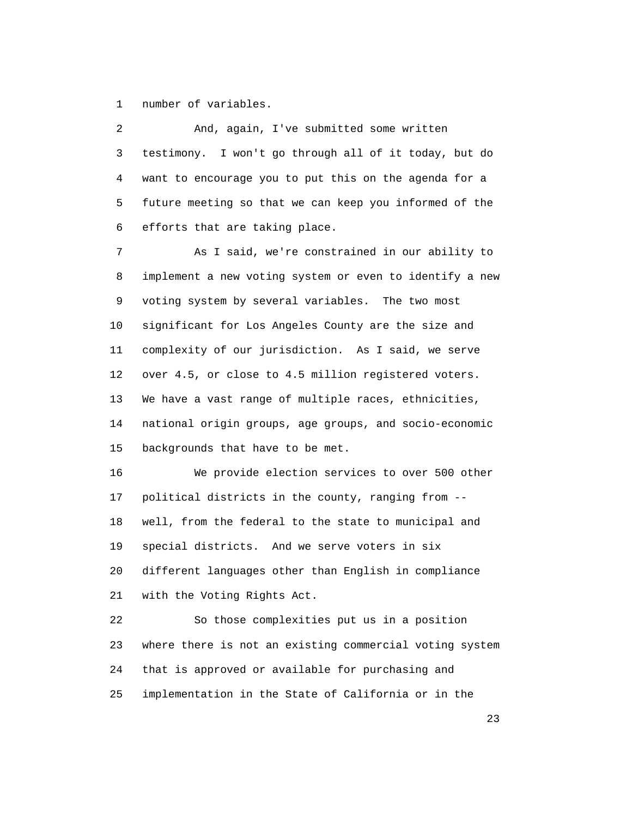1 number of variables.

 2 And, again, I've submitted some written 3 testimony. I won't go through all of it today, but do 4 want to encourage you to put this on the agenda for a 5 future meeting so that we can keep you informed of the 6 efforts that are taking place.

 7 As I said, we're constrained in our ability to 8 implement a new voting system or even to identify a new 9 voting system by several variables. The two most 10 significant for Los Angeles County are the size and 11 complexity of our jurisdiction. As I said, we serve 12 over 4.5, or close to 4.5 million registered voters. 13 We have a vast range of multiple races, ethnicities, 14 national origin groups, age groups, and socio-economic 15 backgrounds that have to be met.

 16 We provide election services to over 500 other 17 political districts in the county, ranging from -- 18 well, from the federal to the state to municipal and 19 special districts. And we serve voters in six 20 different languages other than English in compliance 21 with the Voting Rights Act.

 22 So those complexities put us in a position 23 where there is not an existing commercial voting system 24 that is approved or available for purchasing and 25 implementation in the State of California or in the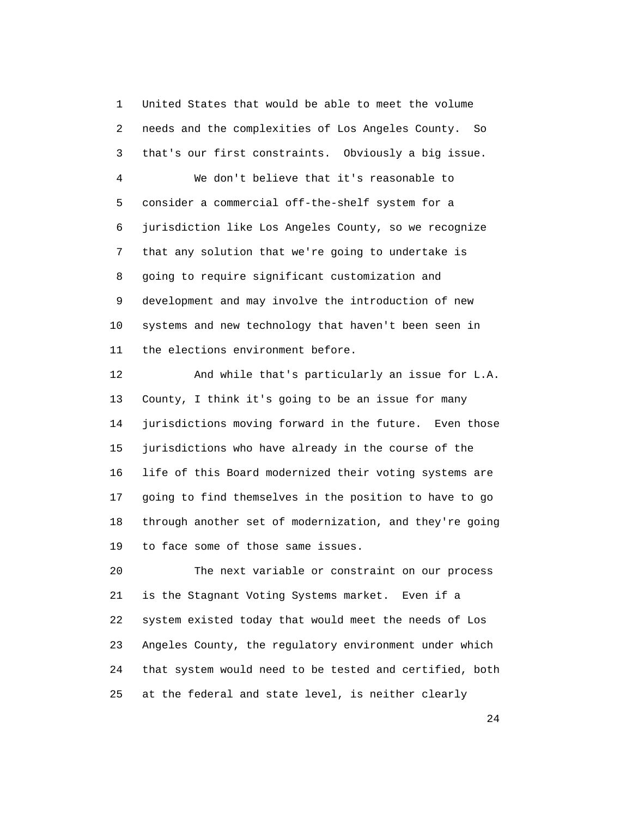1 United States that would be able to meet the volume 2 needs and the complexities of Los Angeles County. So 3 that's our first constraints. Obviously a big issue. 4 We don't believe that it's reasonable to 5 consider a commercial off-the-shelf system for a 6 jurisdiction like Los Angeles County, so we recognize 7 that any solution that we're going to undertake is 8 going to require significant customization and 9 development and may involve the introduction of new 10 systems and new technology that haven't been seen in 11 the elections environment before.

 12 And while that's particularly an issue for L.A. 13 County, I think it's going to be an issue for many 14 jurisdictions moving forward in the future. Even those 15 jurisdictions who have already in the course of the 16 life of this Board modernized their voting systems are 17 going to find themselves in the position to have to go 18 through another set of modernization, and they're going 19 to face some of those same issues.

 20 The next variable or constraint on our process 21 is the Stagnant Voting Systems market. Even if a 22 system existed today that would meet the needs of Los 23 Angeles County, the regulatory environment under which 24 that system would need to be tested and certified, both 25 at the federal and state level, is neither clearly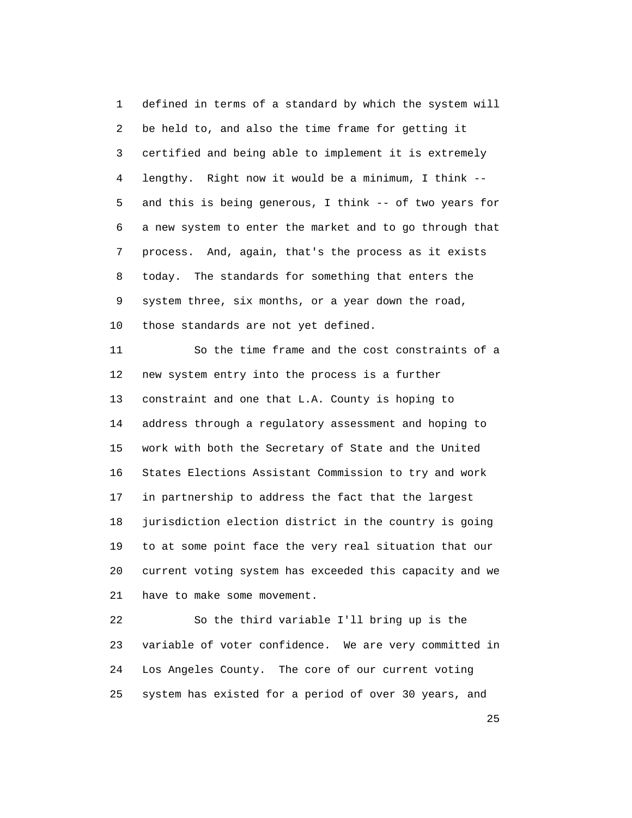1 defined in terms of a standard by which the system will 2 be held to, and also the time frame for getting it 3 certified and being able to implement it is extremely 4 lengthy. Right now it would be a minimum, I think -- 5 and this is being generous, I think -- of two years for 6 a new system to enter the market and to go through that 7 process. And, again, that's the process as it exists 8 today. The standards for something that enters the 9 system three, six months, or a year down the road, 10 those standards are not yet defined.

 11 So the time frame and the cost constraints of a 12 new system entry into the process is a further 13 constraint and one that L.A. County is hoping to 14 address through a regulatory assessment and hoping to 15 work with both the Secretary of State and the United 16 States Elections Assistant Commission to try and work 17 in partnership to address the fact that the largest 18 jurisdiction election district in the country is going 19 to at some point face the very real situation that our 20 current voting system has exceeded this capacity and we 21 have to make some movement.

 22 So the third variable I'll bring up is the 23 variable of voter confidence. We are very committed in 24 Los Angeles County. The core of our current voting 25 system has existed for a period of over 30 years, and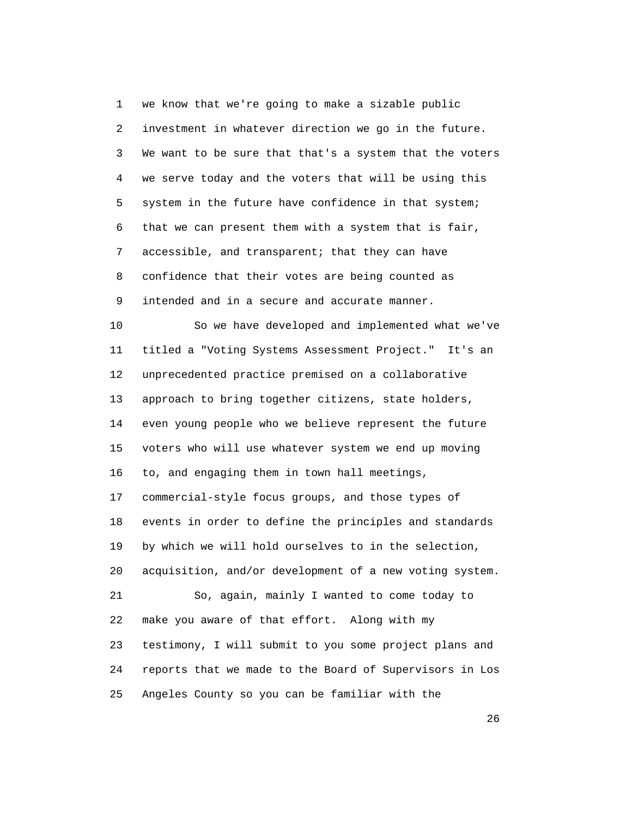1 we know that we're going to make a sizable public 2 investment in whatever direction we go in the future. 3 We want to be sure that that's a system that the voters 4 we serve today and the voters that will be using this 5 system in the future have confidence in that system; 6 that we can present them with a system that is fair, 7 accessible, and transparent; that they can have 8 confidence that their votes are being counted as 9 intended and in a secure and accurate manner.

 10 So we have developed and implemented what we've 11 titled a "Voting Systems Assessment Project." It's an 12 unprecedented practice premised on a collaborative 13 approach to bring together citizens, state holders, 14 even young people who we believe represent the future 15 voters who will use whatever system we end up moving 16 to, and engaging them in town hall meetings, 17 commercial-style focus groups, and those types of 18 events in order to define the principles and standards 19 by which we will hold ourselves to in the selection, 20 acquisition, and/or development of a new voting system. 21 So, again, mainly I wanted to come today to 22 make you aware of that effort. Along with my 23 testimony, I will submit to you some project plans and 24 reports that we made to the Board of Supervisors in Los 25 Angeles County so you can be familiar with the

 $\sim$  26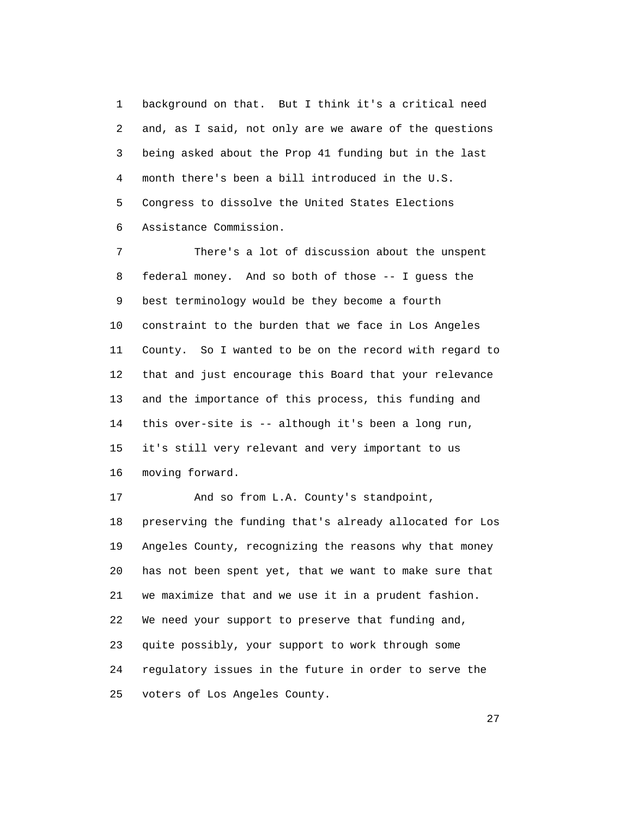1 background on that. But I think it's a critical need 2 and, as I said, not only are we aware of the questions 3 being asked about the Prop 41 funding but in the last 4 month there's been a bill introduced in the U.S. 5 Congress to dissolve the United States Elections 6 Assistance Commission.

 7 There's a lot of discussion about the unspent 8 federal money. And so both of those -- I guess the 9 best terminology would be they become a fourth 10 constraint to the burden that we face in Los Angeles 11 County. So I wanted to be on the record with regard to 12 that and just encourage this Board that your relevance 13 and the importance of this process, this funding and 14 this over-site is -- although it's been a long run, 15 it's still very relevant and very important to us 16 moving forward.

 17 And so from L.A. County's standpoint, 18 preserving the funding that's already allocated for Los 19 Angeles County, recognizing the reasons why that money 20 has not been spent yet, that we want to make sure that 21 we maximize that and we use it in a prudent fashion. 22 We need your support to preserve that funding and, 23 quite possibly, your support to work through some 24 regulatory issues in the future in order to serve the 25 voters of Los Angeles County.

<u>27</u>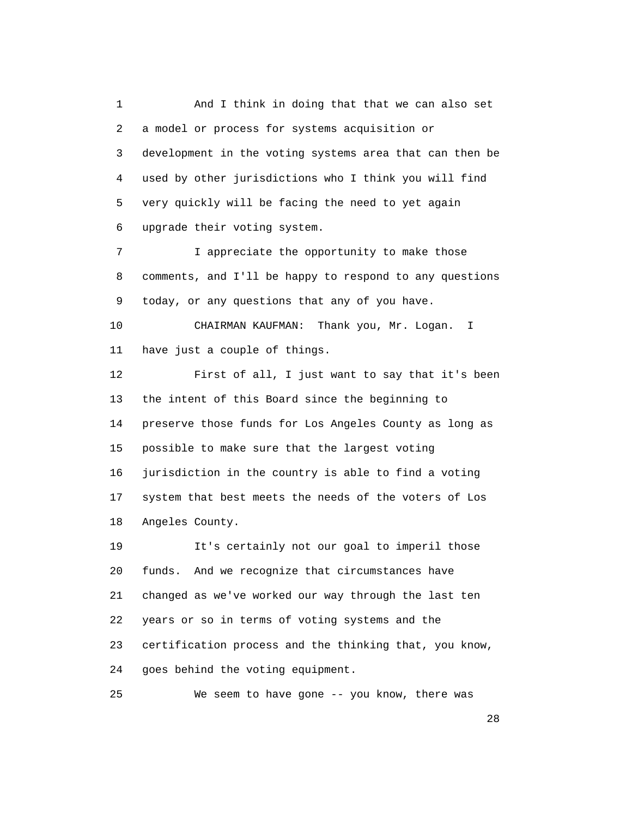1 And I think in doing that that we can also set 2 a model or process for systems acquisition or 3 development in the voting systems area that can then be 4 used by other jurisdictions who I think you will find 5 very quickly will be facing the need to yet again 6 upgrade their voting system. 7 I appreciate the opportunity to make those 8 comments, and I'll be happy to respond to any questions 9 today, or any questions that any of you have. 10 CHAIRMAN KAUFMAN: Thank you, Mr. Logan. I 11 have just a couple of things. 12 First of all, I just want to say that it's been 13 the intent of this Board since the beginning to 14 preserve those funds for Los Angeles County as long as 15 possible to make sure that the largest voting 16 jurisdiction in the country is able to find a voting 17 system that best meets the needs of the voters of Los 18 Angeles County. 19 It's certainly not our goal to imperil those 20 funds. And we recognize that circumstances have 21 changed as we've worked our way through the last ten 22 years or so in terms of voting systems and the 23 certification process and the thinking that, you know, 24 goes behind the voting equipment. 25 We seem to have gone -- you know, there was

28 and 28 and 28 and 28 and 28 and 28 and 28 and 28 and 28 and 28 and 28 and 28 and 28 and 28 and 28 and 28 and 28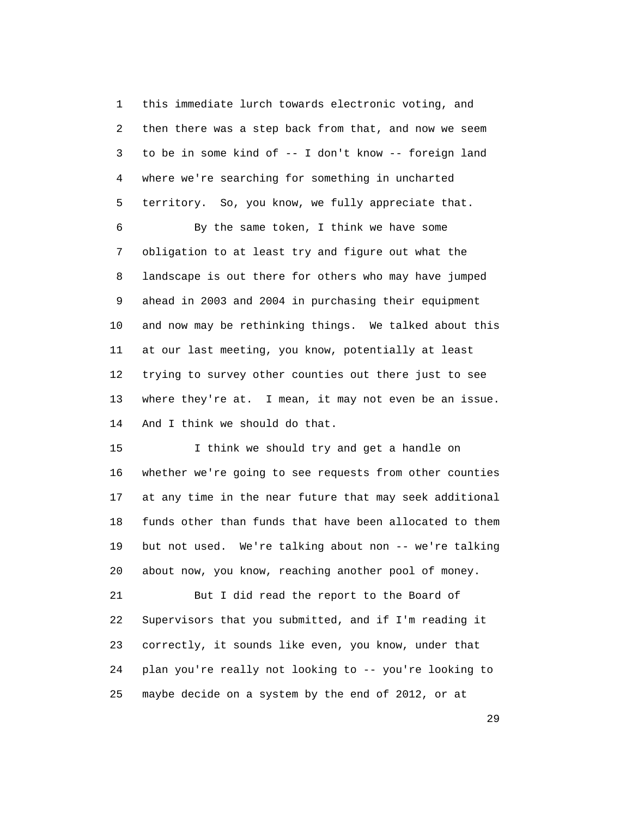1 this immediate lurch towards electronic voting, and 2 then there was a step back from that, and now we seem 3 to be in some kind of -- I don't know -- foreign land 4 where we're searching for something in uncharted 5 territory. So, you know, we fully appreciate that.

 6 By the same token, I think we have some 7 obligation to at least try and figure out what the 8 landscape is out there for others who may have jumped 9 ahead in 2003 and 2004 in purchasing their equipment 10 and now may be rethinking things. We talked about this 11 at our last meeting, you know, potentially at least 12 trying to survey other counties out there just to see 13 where they're at. I mean, it may not even be an issue. 14 And I think we should do that.

 15 I think we should try and get a handle on 16 whether we're going to see requests from other counties 17 at any time in the near future that may seek additional 18 funds other than funds that have been allocated to them 19 but not used. We're talking about non -- we're talking 20 about now, you know, reaching another pool of money.

 21 But I did read the report to the Board of 22 Supervisors that you submitted, and if I'm reading it 23 correctly, it sounds like even, you know, under that 24 plan you're really not looking to -- you're looking to 25 maybe decide on a system by the end of 2012, or at

29 and 20 and 20 and 20 and 20 and 20 and 20 and 20 and 20 and 20 and 20 and 20 and 20 and 20 and 20 and 20 an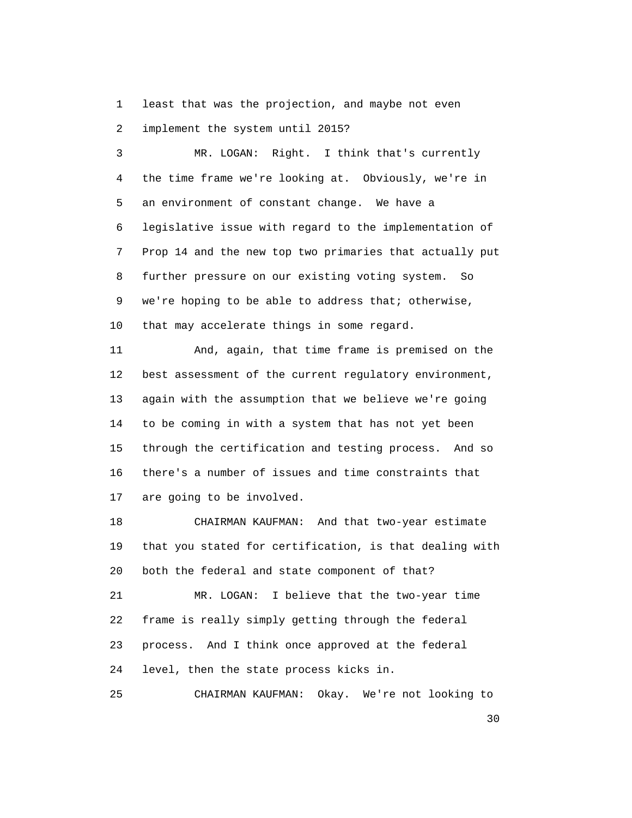1 least that was the projection, and maybe not even 2 implement the system until 2015?

 3 MR. LOGAN: Right. I think that's currently 4 the time frame we're looking at. Obviously, we're in 5 an environment of constant change. We have a 6 legislative issue with regard to the implementation of 7 Prop 14 and the new top two primaries that actually put 8 further pressure on our existing voting system. So 9 we're hoping to be able to address that; otherwise, 10 that may accelerate things in some regard. 11 And, again, that time frame is premised on the 12 best assessment of the current regulatory environment, 13 again with the assumption that we believe we're going 14 to be coming in with a system that has not yet been 15 through the certification and testing process. And so 16 there's a number of issues and time constraints that 17 are going to be involved. 18 CHAIRMAN KAUFMAN: And that two-year estimate

 19 that you stated for certification, is that dealing with 20 both the federal and state component of that? 21 MR. LOGAN: I believe that the two-year time 22 frame is really simply getting through the federal 23 process. And I think once approved at the federal 24 level, then the state process kicks in.

25 CHAIRMAN KAUFMAN: Okay. We're not looking to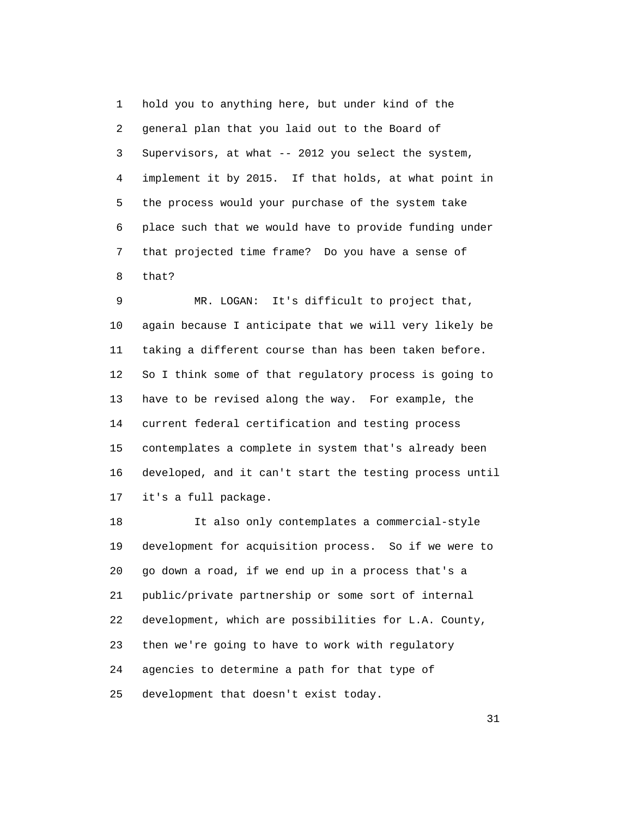1 hold you to anything here, but under kind of the 2 general plan that you laid out to the Board of 3 Supervisors, at what -- 2012 you select the system, 4 implement it by 2015. If that holds, at what point in 5 the process would your purchase of the system take 6 place such that we would have to provide funding under 7 that projected time frame? Do you have a sense of 8 that?

 9 MR. LOGAN: It's difficult to project that, 10 again because I anticipate that we will very likely be 11 taking a different course than has been taken before. 12 So I think some of that regulatory process is going to 13 have to be revised along the way. For example, the 14 current federal certification and testing process 15 contemplates a complete in system that's already been 16 developed, and it can't start the testing process until 17 it's a full package.

 18 It also only contemplates a commercial-style 19 development for acquisition process. So if we were to 20 go down a road, if we end up in a process that's a 21 public/private partnership or some sort of internal 22 development, which are possibilities for L.A. County, 23 then we're going to have to work with regulatory 24 agencies to determine a path for that type of 25 development that doesn't exist today.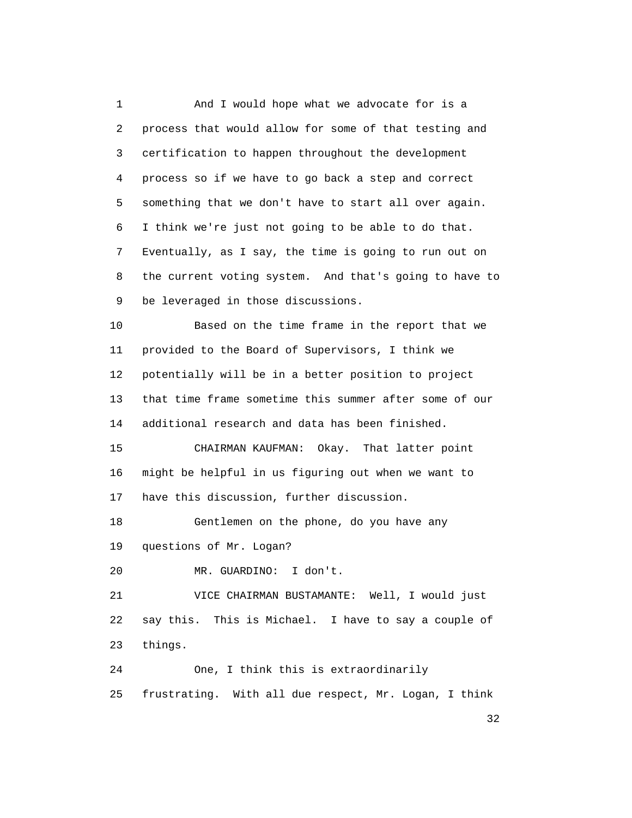1 And I would hope what we advocate for is a 2 process that would allow for some of that testing and 3 certification to happen throughout the development 4 process so if we have to go back a step and correct 5 something that we don't have to start all over again. 6 I think we're just not going to be able to do that. 7 Eventually, as I say, the time is going to run out on 8 the current voting system. And that's going to have to 9 be leveraged in those discussions.

 10 Based on the time frame in the report that we 11 provided to the Board of Supervisors, I think we 12 potentially will be in a better position to project 13 that time frame sometime this summer after some of our 14 additional research and data has been finished.

 15 CHAIRMAN KAUFMAN: Okay. That latter point 16 might be helpful in us figuring out when we want to 17 have this discussion, further discussion.

 18 Gentlemen on the phone, do you have any 19 questions of Mr. Logan?

20 MR. GUARDINO: I don't.

 21 VICE CHAIRMAN BUSTAMANTE: Well, I would just 22 say this. This is Michael. I have to say a couple of 23 things.

 24 One, I think this is extraordinarily 25 frustrating. With all due respect, Mr. Logan, I think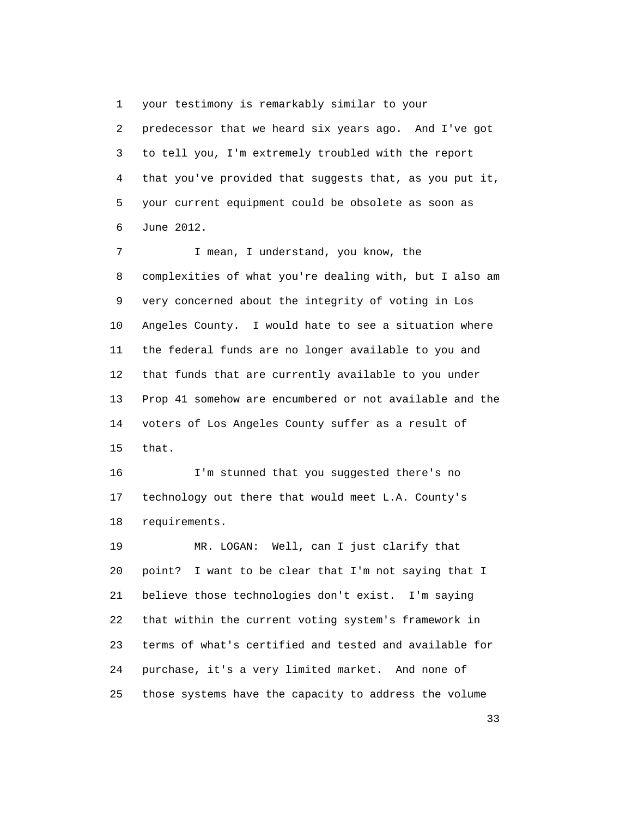1 your testimony is remarkably similar to your 2 predecessor that we heard six years ago. And I've got 3 to tell you, I'm extremely troubled with the report 4 that you've provided that suggests that, as you put it, 5 your current equipment could be obsolete as soon as 6 June 2012.

7 I mean, I understand, you know, the 8 complexities of what you're dealing with, but I also am 9 very concerned about the integrity of voting in Los 10 Angeles County. I would hate to see a situation where 11 the federal funds are no longer available to you and 12 that funds that are currently available to you under 13 Prop 41 somehow are encumbered or not available and the 14 voters of Los Angeles County suffer as a result of 15 that.

 16 I'm stunned that you suggested there's no 17 technology out there that would meet L.A. County's 18 requirements.

 19 MR. LOGAN: Well, can I just clarify that 20 point? I want to be clear that I'm not saying that I 21 believe those technologies don't exist. I'm saying 22 that within the current voting system's framework in 23 terms of what's certified and tested and available for 24 purchase, it's a very limited market. And none of 25 those systems have the capacity to address the volume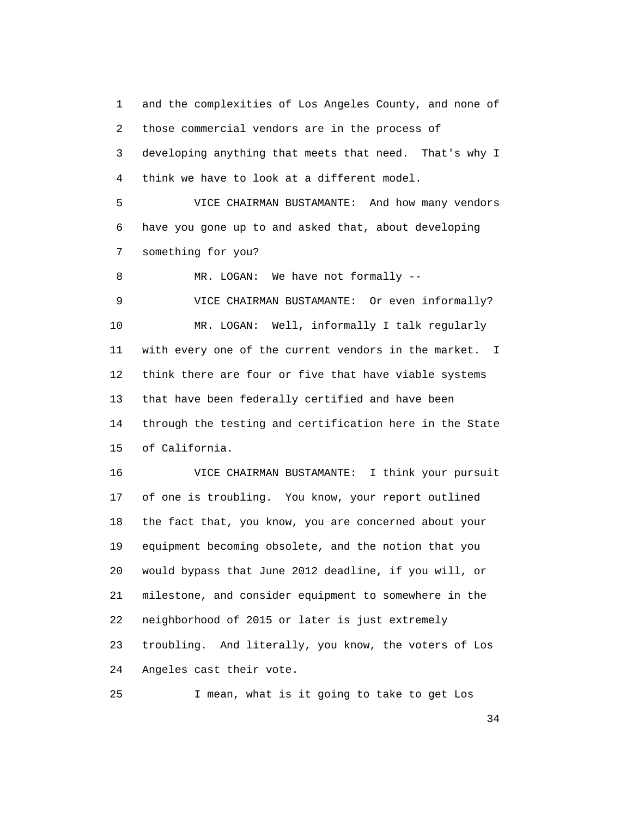1 and the complexities of Los Angeles County, and none of 2 those commercial vendors are in the process of 3 developing anything that meets that need. That's why I 4 think we have to look at a different model.

 5 VICE CHAIRMAN BUSTAMANTE: And how many vendors 6 have you gone up to and asked that, about developing 7 something for you?

8 MR. LOGAN: We have not formally --

 9 VICE CHAIRMAN BUSTAMANTE: Or even informally? 10 MR. LOGAN: Well, informally I talk regularly 11 with every one of the current vendors in the market. I 12 think there are four or five that have viable systems 13 that have been federally certified and have been 14 through the testing and certification here in the State 15 of California.

 16 VICE CHAIRMAN BUSTAMANTE: I think your pursuit 17 of one is troubling. You know, your report outlined 18 the fact that, you know, you are concerned about your 19 equipment becoming obsolete, and the notion that you 20 would bypass that June 2012 deadline, if you will, or 21 milestone, and consider equipment to somewhere in the 22 neighborhood of 2015 or later is just extremely 23 troubling. And literally, you know, the voters of Los 24 Angeles cast their vote.

25 I mean, what is it going to take to get Los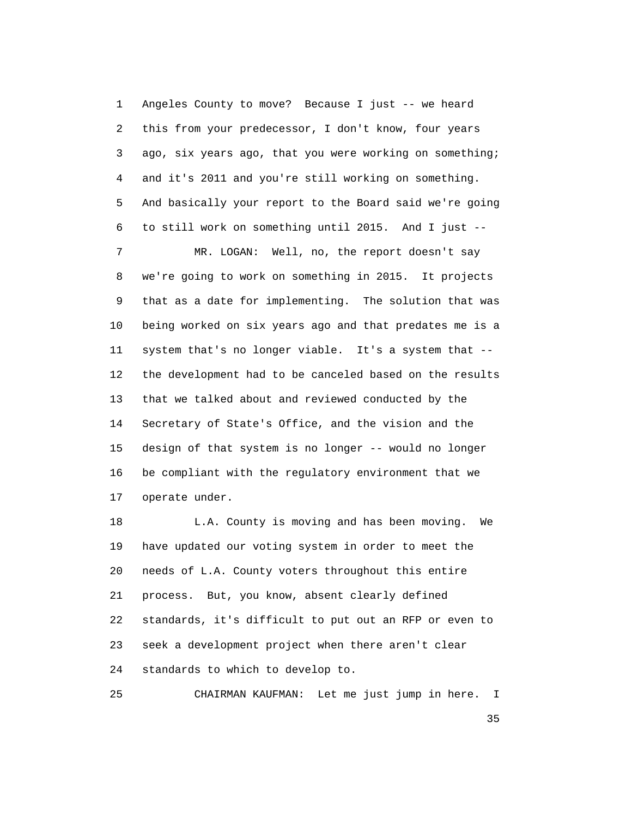1 Angeles County to move? Because I just -- we heard 2 this from your predecessor, I don't know, four years 3 ago, six years ago, that you were working on something; 4 and it's 2011 and you're still working on something. 5 And basically your report to the Board said we're going 6 to still work on something until 2015. And I just -- 7 MR. LOGAN: Well, no, the report doesn't say 8 we're going to work on something in 2015. It projects 9 that as a date for implementing. The solution that was 10 being worked on six years ago and that predates me is a 11 system that's no longer viable. It's a system that -- 12 the development had to be canceled based on the results 13 that we talked about and reviewed conducted by the 14 Secretary of State's Office, and the vision and the 15 design of that system is no longer -- would no longer 16 be compliant with the regulatory environment that we 17 operate under.

18 L.A. County is moving and has been moving. We 19 have updated our voting system in order to meet the 20 needs of L.A. County voters throughout this entire 21 process. But, you know, absent clearly defined 22 standards, it's difficult to put out an RFP or even to 23 seek a development project when there aren't clear 24 standards to which to develop to.

25 CHAIRMAN KAUFMAN: Let me just jump in here. I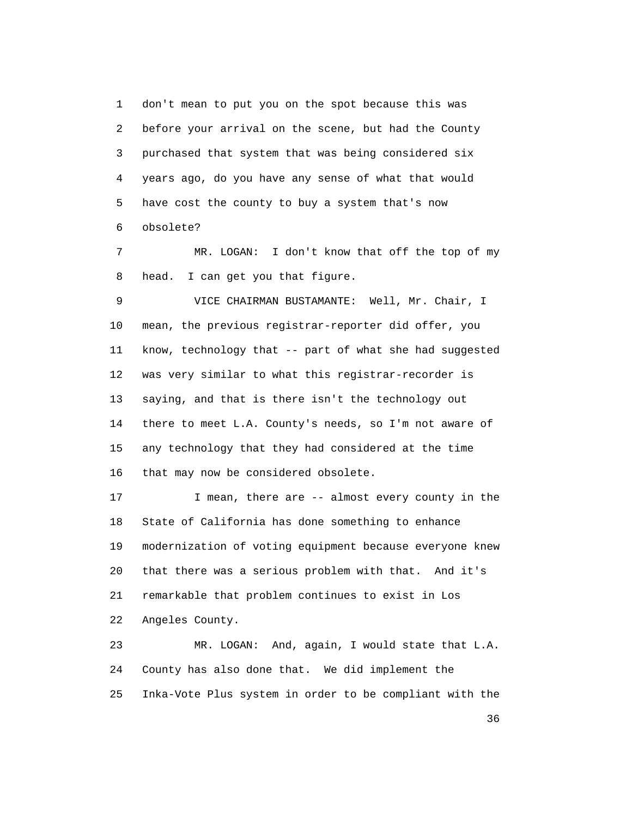1 don't mean to put you on the spot because this was 2 before your arrival on the scene, but had the County 3 purchased that system that was being considered six 4 years ago, do you have any sense of what that would 5 have cost the county to buy a system that's now 6 obsolete?

 7 MR. LOGAN: I don't know that off the top of my 8 head. I can get you that figure.

 9 VICE CHAIRMAN BUSTAMANTE: Well, Mr. Chair, I 10 mean, the previous registrar-reporter did offer, you 11 know, technology that -- part of what she had suggested 12 was very similar to what this registrar-recorder is 13 saying, and that is there isn't the technology out 14 there to meet L.A. County's needs, so I'm not aware of 15 any technology that they had considered at the time 16 that may now be considered obsolete.

17 I mean, there are -- almost every county in the 18 State of California has done something to enhance 19 modernization of voting equipment because everyone knew 20 that there was a serious problem with that. And it's 21 remarkable that problem continues to exist in Los 22 Angeles County.

 23 MR. LOGAN: And, again, I would state that L.A. 24 County has also done that. We did implement the 25 Inka-Vote Plus system in order to be compliant with the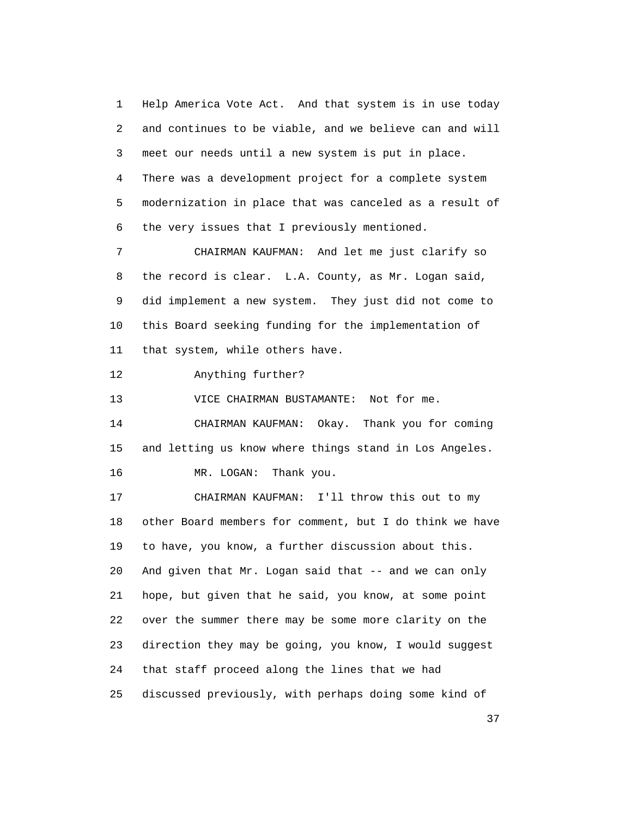1 Help America Vote Act. And that system is in use today 2 and continues to be viable, and we believe can and will 3 meet our needs until a new system is put in place. 4 There was a development project for a complete system 5 modernization in place that was canceled as a result of 6 the very issues that I previously mentioned.

 7 CHAIRMAN KAUFMAN: And let me just clarify so 8 the record is clear. L.A. County, as Mr. Logan said, 9 did implement a new system. They just did not come to 10 this Board seeking funding for the implementation of 11 that system, while others have.

12 Anything further?

13 VICE CHAIRMAN BUSTAMANTE: Not for me.

 14 CHAIRMAN KAUFMAN: Okay. Thank you for coming 15 and letting us know where things stand in Los Angeles. 16 MR. LOGAN: Thank you.

 17 CHAIRMAN KAUFMAN: I'll throw this out to my 18 other Board members for comment, but I do think we have 19 to have, you know, a further discussion about this. 20 And given that Mr. Logan said that -- and we can only 21 hope, but given that he said, you know, at some point 22 over the summer there may be some more clarity on the 23 direction they may be going, you know, I would suggest 24 that staff proceed along the lines that we had 25 discussed previously, with perhaps doing some kind of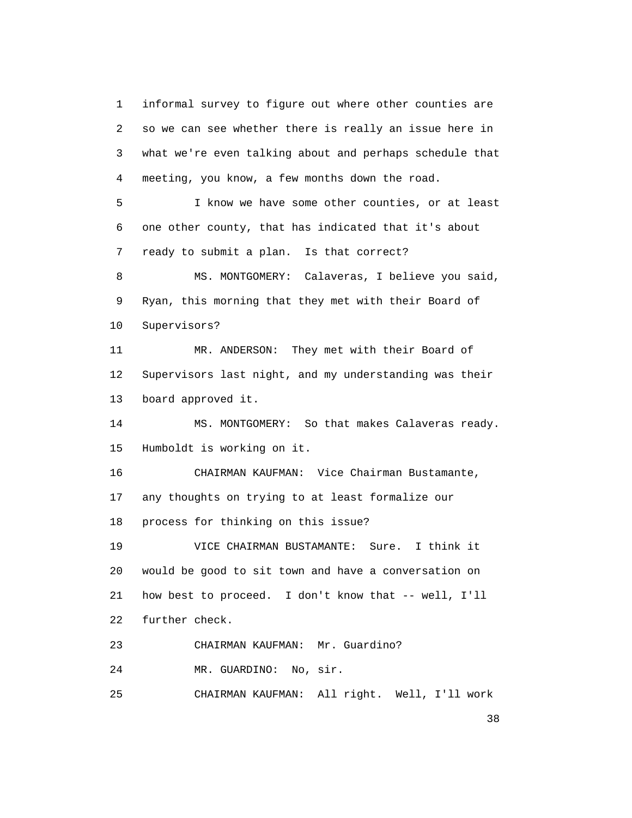1 informal survey to figure out where other counties are 2 so we can see whether there is really an issue here in 3 what we're even talking about and perhaps schedule that 4 meeting, you know, a few months down the road. 5 I know we have some other counties, or at least 6 one other county, that has indicated that it's about 7 ready to submit a plan. Is that correct? 8 MS. MONTGOMERY: Calaveras, I believe you said, 9 Ryan, this morning that they met with their Board of 10 Supervisors? 11 MR. ANDERSON: They met with their Board of 12 Supervisors last night, and my understanding was their 13 board approved it. 14 MS. MONTGOMERY: So that makes Calaveras ready. 15 Humboldt is working on it. 16 CHAIRMAN KAUFMAN: Vice Chairman Bustamante, 17 any thoughts on trying to at least formalize our 18 process for thinking on this issue? 19 VICE CHAIRMAN BUSTAMANTE: Sure. I think it 20 would be good to sit town and have a conversation on 21 how best to proceed. I don't know that -- well, I'll 22 further check. 23 CHAIRMAN KAUFMAN: Mr. Guardino? 24 MR. GUARDINO: No, sir. 25 CHAIRMAN KAUFMAN: All right. Well, I'll work

<u>38</u>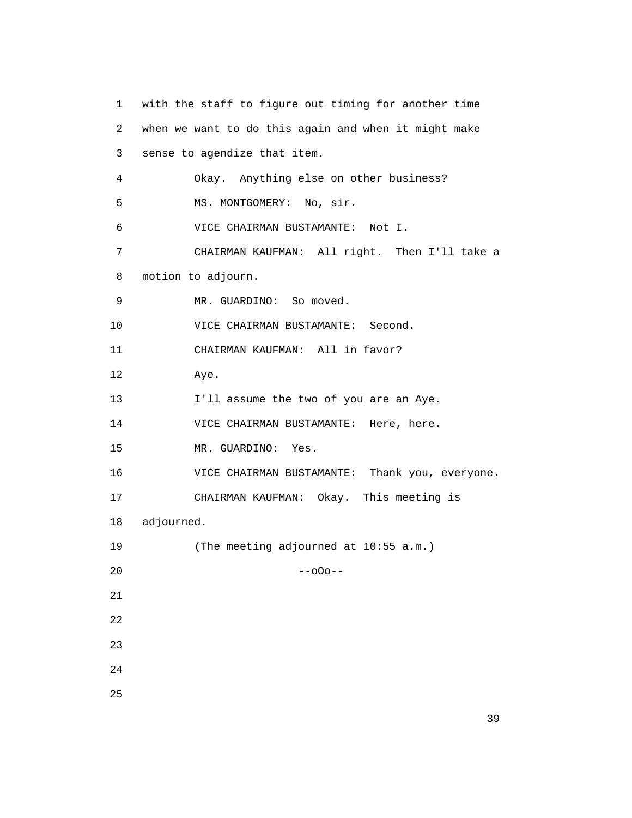1 with the staff to figure out timing for another time 2 when we want to do this again and when it might make 3 sense to agendize that item. 4 Okay. Anything else on other business? 5 MS. MONTGOMERY: No, sir. 6 VICE CHAIRMAN BUSTAMANTE: Not I. 7 CHAIRMAN KAUFMAN: All right. Then I'll take a 8 motion to adjourn. 9 MR. GUARDINO: So moved. 10 VICE CHAIRMAN BUSTAMANTE: Second. 11 CHAIRMAN KAUFMAN: All in favor? 12 Aye. 13 I'll assume the two of you are an Aye. 14 VICE CHAIRMAN BUSTAMANTE: Here, here. 15 MR. GUARDINO: Yes. 16 VICE CHAIRMAN BUSTAMANTE: Thank you, everyone. 17 CHAIRMAN KAUFMAN: Okay. This meeting is 18 adjourned. 19 (The meeting adjourned at 10:55 a.m.)  $20$  --o0o-- 21 22 23 24 25